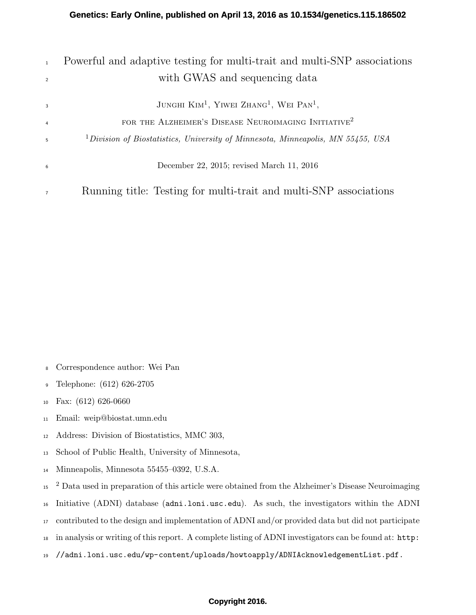| $\mathbf{1}$   | Powerful and adaptive testing for multi-trait and multi-SNP associations           |
|----------------|------------------------------------------------------------------------------------|
| $\overline{2}$ | with GWAS and sequencing data                                                      |
| $\overline{3}$ | JUNGHI $\text{KIM}^1$ , YIWEI $\text{ZHANG}^1$ , WEI $\text{PAN}^1$ ,              |
| $\overline{4}$ | FOR THE ALZHEIMER'S DISEASE NEUROIMAGING INITIATIVE <sup>2</sup>                   |
| 5              | $1$ Division of Biostatistics, University of Minnesota, Minneapolis, MN 55455, USA |
| 6              | December 22, 2015; revised March 11, 2016                                          |
| $\overline{7}$ | Running title: Testing for multi-trait and multi-SNP associations                  |

- Correspondence author: Wei Pan
- Telephone: (612) 626-2705
- Fax: (612) 626-0660
- Email: weip@biostat.umn.edu
- Address: Division of Biostatistics, MMC 303,
- School of Public Health, University of Minnesota,
- Minneapolis, Minnesota 55455–0392, U.S.A.
- <sup>15</sup> <sup>2</sup> Data used in preparation of this article were obtained from the Alzheimer's Disease Neuroimaging
- Initiative (ADNI) database (adni.loni.usc.edu). As such, the investigators within the ADNI
- contributed to the design and implementation of ADNI and/or provided data but did not participate
- in analysis or writing of this report. A complete listing of ADNI investigators can be found at: http:
- //adni.loni.usc.edu/wp-content/uploads/howtoapply/ADNIAcknowledgementList.pdf.

### **Copyright 2016.**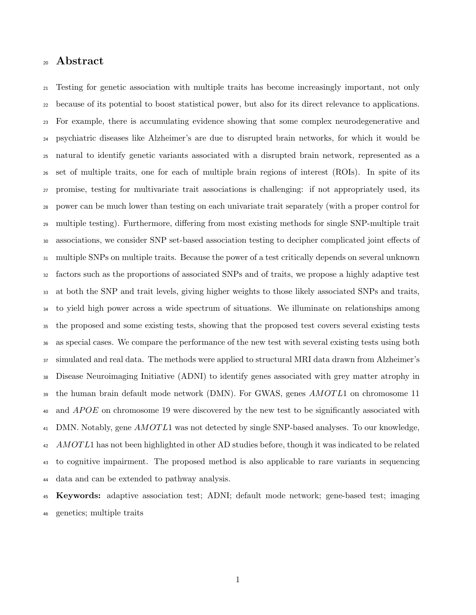# Abstract

 Testing for genetic association with multiple traits has become increasingly important, not only because of its potential to boost statistical power, but also for its direct relevance to applications. For example, there is accumulating evidence showing that some complex neurodegenerative and psychiatric diseases like Alzheimer's are due to disrupted brain networks, for which it would be natural to identify genetic variants associated with a disrupted brain network, represented as a set of multiple traits, one for each of multiple brain regions of interest (ROIs). In spite of its promise, testing for multivariate trait associations is challenging: if not appropriately used, its power can be much lower than testing on each univariate trait separately (with a proper control for multiple testing). Furthermore, differing from most existing methods for single SNP-multiple trait associations, we consider SNP set-based association testing to decipher complicated joint effects of multiple SNPs on multiple traits. Because the power of a test critically depends on several unknown factors such as the proportions of associated SNPs and of traits, we propose a highly adaptive test at both the SNP and trait levels, giving higher weights to those likely associated SNPs and traits, to yield high power across a wide spectrum of situations. We illuminate on relationships among the proposed and some existing tests, showing that the proposed test covers several existing tests as special cases. We compare the performance of the new test with several existing tests using both simulated and real data. The methods were applied to structural MRI data drawn from Alzheimer's Disease Neuroimaging Initiative (ADNI) to identify genes associated with grey matter atrophy in  $\alpha$ <sup>39</sup> the human brain default mode network (DMN). For GWAS, genes AMOTL1 on chromosome 11 <sup>40</sup> and *APOE* on chromosome 19 were discovered by the new test to be significantly associated with  $_{41}$  DMN. Notably, gene  $AMOTL1$  was not detected by single SNP-based analyses. To our knowledge, 42 AMOTL1 has not been highlighted in other AD studies before, though it was indicated to be related to cognitive impairment. The proposed method is also applicable to rare variants in sequencing data and can be extended to pathway analysis.

 Keywords: adaptive association test; ADNI; default mode network; gene-based test; imaging genetics; multiple traits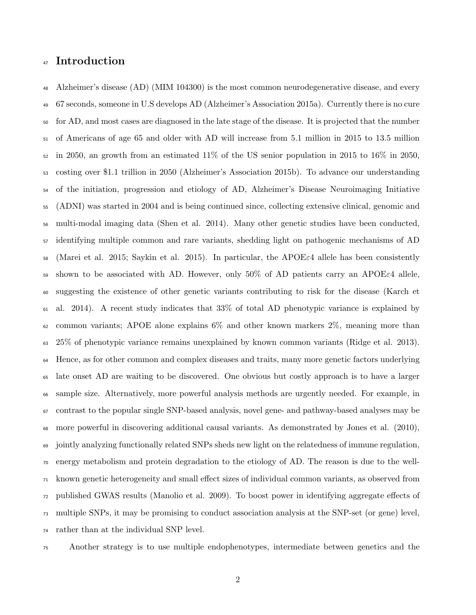# Introduction

 Alzheimer's disease (AD) (MIM 104300) is the most common neurodegenerative disease, and every 67 seconds, someone in U.S develops AD (Alzheimer's Association 2015a). Currently there is no cure for AD, and most cases are diagnosed in the late stage of the disease. It is projected that the number of Americans of age 65 and older with AD will increase from 5.1 million in 2015 to 13.5 million in 2050, an growth from an estimated 11% of the US senior population in 2015 to 16% in 2050, costing over \$1.1 trillion in 2050 (Alzheimer's Association 2015b). To advance our understanding of the initiation, progression and etiology of AD, Alzheimer's Disease Neuroimaging Initiative (ADNI) was started in 2004 and is being continued since, collecting extensive clinical, genomic and multi-modal imaging data (Shen et al. 2014). Many other genetic studies have been conducted, identifying multiple common and rare variants, shedding light on pathogenic mechanisms of AD (Marei et al. 2015; Saykin et al. 2015). In particular, the APOE $\varepsilon$ 4 allele has been consistently 59 shown to be associated with AD. However, only 50% of AD patients carry an APOE $\varepsilon$ 4 allele, suggesting the existence of other genetic variants contributing to risk for the disease (Karch et al. 2014). A recent study indicates that 33% of total AD phenotypic variance is explained by  $\epsilon_2$  common variants; APOE alone explains 6% and other known markers 2%, meaning more than 25% of phenotypic variance remains unexplained by known common variants (Ridge et al. 2013). Hence, as for other common and complex diseases and traits, many more genetic factors underlying late onset AD are waiting to be discovered. One obvious but costly approach is to have a larger sample size. Alternatively, more powerful analysis methods are urgently needed. For example, in contrast to the popular single SNP-based analysis, novel gene- and pathway-based analyses may be more powerful in discovering additional causal variants. As demonstrated by Jones et al. (2010), jointly analyzing functionally related SNPs sheds new light on the relatedness of immune regulation, energy metabolism and protein degradation to the etiology of AD. The reason is due to the well- known genetic heterogeneity and small effect sizes of individual common variants, as observed from published GWAS results (Manolio et al. 2009). To boost power in identifying aggregate effects of multiple SNPs, it may be promising to conduct association analysis at the SNP-set (or gene) level, rather than at the individual SNP level.

Another strategy is to use multiple endophenotypes, intermediate between genetics and the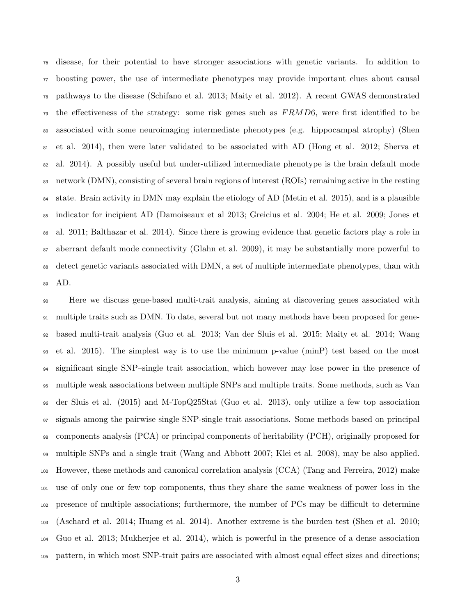disease, for their potential to have stronger associations with genetic variants. In addition to boosting power, the use of intermediate phenotypes may provide important clues about causal pathways to the disease (Schifano et al. 2013; Maity et al. 2012). A recent GWAS demonstrated <sup>79</sup> the effectiveness of the strategy: some risk genes such as  $FRMD6$ , were first identified to be associated with some neuroimaging intermediate phenotypes (e.g. hippocampal atrophy) (Shen et al. 2014), then were later validated to be associated with AD (Hong et al. 2012; Sherva et al. 2014). A possibly useful but under-utilized intermediate phenotype is the brain default mode network (DMN), consisting of several brain regions of interest (ROIs) remaining active in the resting state. Brain activity in DMN may explain the etiology of AD (Metin et al. 2015), and is a plausible indicator for incipient AD (Damoiseaux et al 2013; Greicius et al. 2004; He et al. 2009; Jones et al. 2011; Balthazar et al. 2014). Since there is growing evidence that genetic factors play a role in aberrant default mode connectivity (Glahn et al. 2009), it may be substantially more powerful to detect genetic variants associated with DMN, a set of multiple intermediate phenotypes, than with AD.

 Here we discuss gene-based multi-trait analysis, aiming at discovering genes associated with multiple traits such as DMN. To date, several but not many methods have been proposed for gene- based multi-trait analysis (Guo et al. 2013; Van der Sluis et al. 2015; Maity et al. 2014; Wang et al. 2015). The simplest way is to use the minimum p-value (minP) test based on the most significant single SNP–single trait association, which however may lose power in the presence of multiple weak associations between multiple SNPs and multiple traits. Some methods, such as Van der Sluis et al. (2015) and M-TopQ25Stat (Guo et al. 2013), only utilize a few top association signals among the pairwise single SNP-single trait associations. Some methods based on principal components analysis (PCA) or principal components of heritability (PCH), originally proposed for multiple SNPs and a single trait (Wang and Abbott 2007; Klei et al. 2008), may be also applied. However, these methods and canonical correlation analysis (CCA) (Tang and Ferreira, 2012) make use of only one or few top components, thus they share the same weakness of power loss in the presence of multiple associations; furthermore, the number of PCs may be difficult to determine (Aschard et al. 2014; Huang et al. 2014). Another extreme is the burden test (Shen et al. 2010; Guo et al. 2013; Mukherjee et al. 2014), which is powerful in the presence of a dense association pattern, in which most SNP-trait pairs are associated with almost equal effect sizes and directions;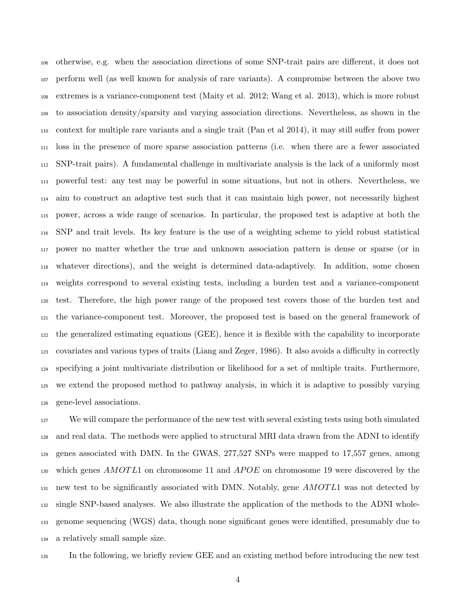otherwise, e.g. when the association directions of some SNP-trait pairs are different, it does not perform well (as well known for analysis of rare variants). A compromise between the above two extremes is a variance-component test (Maity et al. 2012; Wang et al. 2013), which is more robust to association density/sparsity and varying association directions. Nevertheless, as shown in the context for multiple rare variants and a single trait (Pan et al 2014), it may still suffer from power loss in the presence of more sparse association patterns (i.e. when there are a fewer associated SNP-trait pairs). A fundamental challenge in multivariate analysis is the lack of a uniformly most powerful test: any test may be powerful in some situations, but not in others. Nevertheless, we aim to construct an adaptive test such that it can maintain high power, not necessarily highest power, across a wide range of scenarios. In particular, the proposed test is adaptive at both the SNP and trait levels. Its key feature is the use of a weighting scheme to yield robust statistical power no matter whether the true and unknown association pattern is dense or sparse (or in whatever directions), and the weight is determined data-adaptively. In addition, some chosen weights correspond to several existing tests, including a burden test and a variance-component test. Therefore, the high power range of the proposed test covers those of the burden test and the variance-component test. Moreover, the proposed test is based on the general framework of the generalized estimating equations (GEE), hence it is flexible with the capability to incorporate covariates and various types of traits (Liang and Zeger, 1986). It also avoids a difficulty in correctly specifying a joint multivariate distribution or likelihood for a set of multiple traits. Furthermore, we extend the proposed method to pathway analysis, in which it is adaptive to possibly varying gene-level associations.

 We will compare the performance of the new test with several existing tests using both simulated and real data. The methods were applied to structural MRI data drawn from the ADNI to identify genes associated with DMN. In the GWAS, 277,527 SNPs were mapped to 17,557 genes, among 130 which genes  $AMOTL1$  on chromosome 11 and  $APOE$  on chromosome 19 were discovered by the  $_{131}$  new test to be significantly associated with DMN. Notably, gene AMOTL1 was not detected by single SNP-based analyses. We also illustrate the application of the methods to the ADNI whole- genome sequencing (WGS) data, though none significant genes were identified, presumably due to a relatively small sample size.

In the following, we briefly review GEE and an existing method before introducing the new test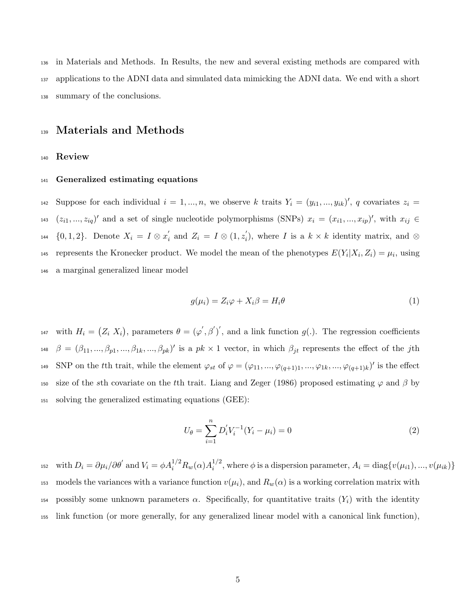<sup>136</sup> in Materials and Methods. In Results, the new and several existing methods are compared with <sup>137</sup> applications to the ADNI data and simulated data mimicking the ADNI data. We end with a short <sup>138</sup> summary of the conclusions.

### <sup>139</sup> Materials and Methods

#### <sup>140</sup> Review

#### <sup>141</sup> Generalized estimating equations

<sup>142</sup> Suppose for each individual  $i = 1, ..., n$ , we observe k traits  $Y_i = (y_{i1}, ..., y_{ik})'$ , q covariates  $z_i =$ 143  $(z_{i1},...,z_{iq})'$  and a set of single nucleotide polymorphisms (SNPs)  $x_i = (x_{i1},...,x_{ip})'$ , with  $x_{ij} \in$  ${0, 1, 2}$ . Denote  $X_i = I \otimes x'_i$  $z_i'$  and  $Z_i = I \otimes (1, z_i')$ 144  $\{0,1,2\}$ . Denote  $X_i = I \otimes x'_i$  and  $Z_i = I \otimes (1,z'_i)$ , where I is a  $k \times k$  identity matrix, and  $\otimes$ 145 represents the Kronecker product. We model the mean of the phenotypes  $E(Y_i|X_i, Z_i) = \mu_i$ , using <sup>146</sup> a marginal generalized linear model

$$
g(\mu_i) = Z_i \varphi + X_i \beta = H_i \theta \tag{1}
$$

<sup>147</sup> with  $H_i = (Z_i, X_i)$ , parameters  $\theta = (\varphi', \beta')'$ , and a link function  $g(.)$ . The regression coefficients <sup>148</sup>  $\beta = (\beta_{11}, ..., \beta_{p1}, ..., \beta_{1k}, ..., \beta_{pk})'$  is a  $pk \times 1$  vector, in which  $\beta_{jt}$  represents the effect of the j<sup>th</sup> 149 SNP on the tth trait, while the element  $\varphi_{st}$  of  $\varphi = (\varphi_{11}, ..., \varphi_{(q+1)1}, ..., \varphi_{1k}, ..., \varphi_{(q+1)k})'$  is the effect 150 size of the sth covariate on the tth trait. Liang and Zeger (1986) proposed estimating  $\varphi$  and  $\beta$  by <sup>151</sup> solving the generalized estimating equations (GEE):

$$
U_{\theta} = \sum_{i=1}^{n} D_{i}^{'} V_{i}^{-1} (Y_{i} - \mu_{i}) = 0
$$
\n(2)

with  $D_i = \partial \mu_i / \partial \theta'$  and  $V_i = \phi A_i^{1/2} R_w(\alpha) A_i^{1/2}$ <sup>152</sup> with  $D_i = \partial \mu_i / \partial \theta'$  and  $V_i = \phi A_i^{1/2} R_w(\alpha) A_i^{1/2}$ , where  $\phi$  is a dispersion parameter,  $A_i = \text{diag}\{v(\mu_{i1}), ..., v(\mu_{ik})\}$ 153 models the variances with a variance function  $v(\mu_i)$ , and  $R_w(\alpha)$  is a working correlation matrix with 154 possibly some unknown parameters  $\alpha$ . Specifically, for quantitative traits  $(Y_i)$  with the identity <sup>155</sup> link function (or more generally, for any generalized linear model with a canonical link function),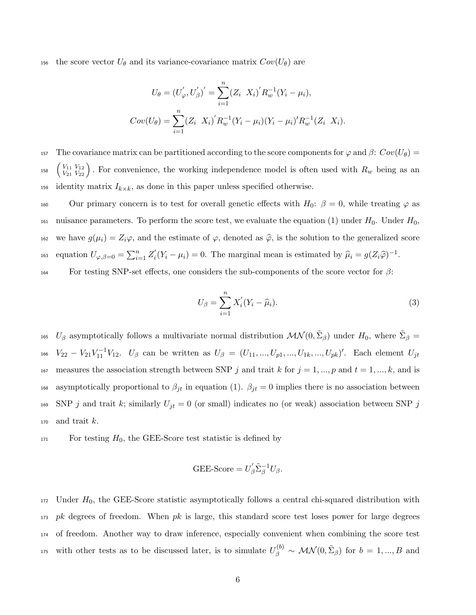156 the score vector  $U_{\theta}$  and its variance-covariance matrix  $Cov(U_{\theta})$  are

$$
U_{\theta} = (U_{\varphi}', U_{\beta}')' = \sum_{i=1}^{n} (Z_i \ X_i)' R_w^{-1} (Y_i - \mu_i),
$$
  
\n
$$
Cov(U_{\theta}) = \sum_{i=1}^{n} (Z_i \ X_i)' R_w^{-1} (Y_i - \mu_i) (Y_i - \mu_i)' R_w^{-1} (Z_i \ X_i).
$$

157 The covariance matrix can be partitioned according to the score components for  $\varphi$  and  $\beta$ :  $Cov(U_{\theta}) =$ <sup>158</sup>  $\begin{pmatrix} V_{11} & V_{12} \\ V_{21} & V_{22} \end{pmatrix}$ . For convenience, the working independence model is often used with  $R_w$  being as an 159 identity matrix  $I_{k \times k}$ , as done in this paper unless specified otherwise.

160 Our primary concern is to test for overall genetic effects with  $H_0$ :  $\beta = 0$ , while treating  $\varphi$  as 161 nuisance parameters. To perform the score test, we evaluate the equation (1) under  $H_0$ . Under  $H_0$ , 162 we have  $g(\mu_i) = Z_i \varphi$ , and the estimate of  $\varphi$ , denoted as  $\hat{\varphi}$ , is the solution to the generalized score equation  $U_{\varphi,\beta=0} = \sum_{i=1}^n Z_i'$ ios equation  $U_{\varphi,\beta=0} = \sum_{i=1}^n Z_i'(Y_i - \mu_i) = 0$ . The marginal mean is estimated by  $\widehat{\mu}_i = g(Z_i\widehat{\varphi})^{-1}$ .

 $164$  For testing SNP-set effects, one considers the sub-components of the score vector for β:

$$
U_{\beta} = \sum_{i=1}^{n} X_i'(Y_i - \widehat{\mu}_i).
$$
\n(3)

<sup>165</sup>  $U_\beta$  asymptotically follows a multivariate normal distribution  $\mathcal{MN}(0, \tilde{\Sigma}_\beta)$  under  $H_0$ , where  $\tilde{\Sigma}_\beta =$ 166  $V_{22} - V_{21}V_{11}^{-1}V_{12}$ .  $U_{\beta}$  can be written as  $U_{\beta} = (U_{11}, ..., U_{p1}, ..., U_{1k}, ..., U_{pk})'$ . Each element  $U_{jt}$ 167 measures the association strength between SNP j and trait k for  $j = 1, ..., p$  and  $t = 1, ..., k$ , and is asymptotically proportional to  $\beta_{jt}$  in equation (1).  $\beta_{jt} = 0$  implies there is no association between 169 SNP j and trait k; similarly  $U_{jt} = 0$  (or small) indicates no (or weak) association between SNP j 170 and trait  $k$ .

 $171$  For testing  $H_0$ , the GEE-Score test statistic is defined by

$$
GEE\text{-}Score = U'_{\beta}\tilde{\Sigma}_{\beta}^{-1}U_{\beta}.
$$

 Under  $H_0$ , the GEE-Score statistic asymptotically follows a central chi-squared distribution with pk degrees of freedom. When pk is large, this standard score test loses power for large degrees of freedom. Another way to draw inference, especially convenient when combining the score test 175 with other tests as to be discussed later, is to simulate  $U_{\beta}^{(b)} \sim \mathcal{MN}(0, \tilde{\Sigma}_{\beta})$  for  $b = 1, ..., B$  and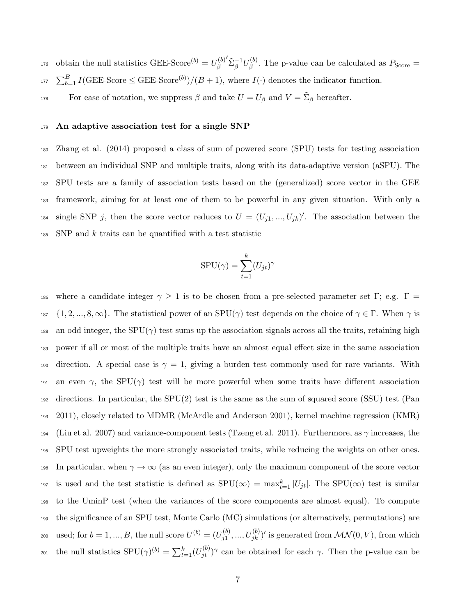obtain the null statistics GEE-Score<sup>(b)</sup> =  $U_A^{(b)}$ β  $\sum_{\beta}^{-1}U_{\beta}^{(b)}$ 176 obtain the null statistics GEE-Score<sup>(b)</sup> =  $U_{\beta}^{(0)} \Sigma_{\beta}^{-1} U_{\beta}^{(0)}$ . The p-value can be calculated as  $P_{\text{Score}} =$ <sup>177</sup>  $\sum_{b=1}^{B} I(\text{GEE-Score} \leq \text{GEE-Score}^{(b)})/(B+1)$ , where  $I(\cdot)$  denotes the indicator function. For ease of notation, we suppress  $\beta$  and take  $U = U_{\beta}$  and  $V = \tilde{\Sigma}_{\beta}$  hereafter.

#### 179 An adaptive association test for a single SNP

 Zhang et al. (2014) proposed a class of sum of powered score (SPU) tests for testing association between an individual SNP and multiple traits, along with its data-adaptive version (aSPU). The SPU tests are a family of association tests based on the (generalized) score vector in the GEE framework, aiming for at least one of them to be powerful in any given situation. With only a 184 single SNP j, then the score vector reduces to  $U = (U_{j1},...,U_{jk})'$ . The association between the SNP and k traits can be quantified with a test statistic

$$
SPU(\gamma) = \sum_{t=1}^{k} (U_{jt})^{\gamma}
$$

186 where a candidate integer  $\gamma \geq 1$  is to be chosen from a pre-selected parameter set Γ; e.g. Γ = 187  $\{1, 2, ..., 8, \infty\}$ . The statistical power of an SPU( $\gamma$ ) test depends on the choice of  $\gamma \in \Gamma$ . When  $\gamma$  is 188 an odd integer, the  $SPU(\gamma)$  test sums up the association signals across all the traits, retaining high <sup>189</sup> power if all or most of the multiple traits have an almost equal effect size in the same association 190 direction. A special case is  $\gamma = 1$ , giving a burden test commonly used for rare variants. With 191 an even  $\gamma$ , the SPU( $\gamma$ ) test will be more powerful when some traits have different association <sup>192</sup> directions. In particular, the SPU(2) test is the same as the sum of squared score (SSU) test (Pan <sup>193</sup> 2011), closely related to MDMR (McArdle and Anderson 2001), kernel machine regression (KMR) 194 (Liu et al. 2007) and variance-component tests (Tzeng et al. 2011). Furthermore, as  $\gamma$  increases, the <sup>195</sup> SPU test upweights the more strongly associated traits, while reducing the weights on other ones. 196 In particular, when  $\gamma \to \infty$  (as an even integer), only the maximum component of the score vector <sup>197</sup> is used and the test statistic is defined as  $SPU(\infty) = \max_{t=1}^{k} |U_{jt}|$ . The  $SPU(\infty)$  test is similar <sup>198</sup> to the UminP test (when the variances of the score components are almost equal). To compute <sup>199</sup> the significance of an SPU test, Monte Carlo (MC) simulations (or alternatively, permutations) are used; for  $b = 1, ..., B$ , the null score  $U^{(b)} = (U_{i1}^{(b)})$  $\mathcal{L}_{200}$  used; for  $b = 1, ..., B$ , the null score  $U^{(b)} = (U_{j1}^{(b)}, ..., U_{jk}^{(b)})'$  is generated from  $\mathcal{MN}(0, V)$ , from which <sup>201</sup> the null statistics SPU( $\gamma$ )<sup>(b)</sup> =  $\sum_{t=1}^{k} (U_{jt}^{(b)})^{\gamma}$  can be obtained for each  $\gamma$ . Then the p-value can be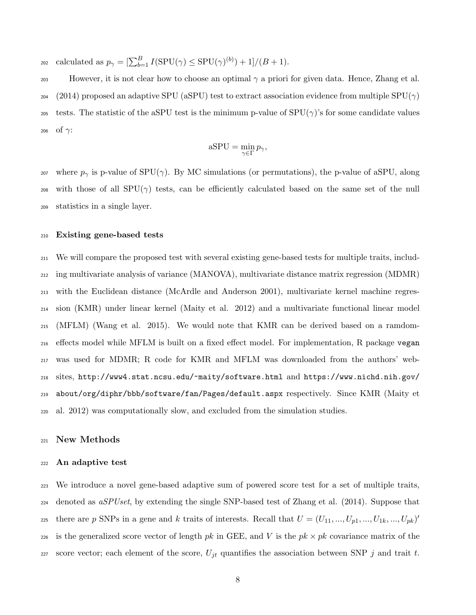$_{202}$  calculated as  $p_{\gamma} = \left[\sum_{b=1}^{B} I(\text{SPU}(\gamma) \leq \text{SPU}(\gamma)^{(b)}) + 1\right] / (B+1).$ 

203 However, it is not clear how to choose an optimal  $\gamma$  a priori for given data. Hence, Zhang et al. 204 (2014) proposed an adaptive SPU (aSPU) test to extract association evidence from multiple SPU( $\gamma$ ) 205 tests. The statistic of the aSPU test is the minimum p-value of  $SPU(\gamma)$ 's for some candidate values 206 of  $\gamma$ :

$$
aSPU = \min_{\gamma \in \Gamma} p_{\gamma},
$$

<sup>207</sup> where  $p_{\gamma}$  is p-value of SPU( $\gamma$ ). By MC simulations (or permutations), the p-value of aSPU, along 208 with those of all  $SPU(\gamma)$  tests, can be efficiently calculated based on the same set of the null <sup>209</sup> statistics in a single layer.

#### <sup>210</sup> Existing gene-based tests

 We will compare the proposed test with several existing gene-based tests for multiple traits, includ- ing multivariate analysis of variance (MANOVA), multivariate distance matrix regression (MDMR) with the Euclidean distance (McArdle and Anderson 2001), multivariate kernel machine regres- sion (KMR) under linear kernel (Maity et al. 2012) and a multivariate functional linear model (MFLM) (Wang et al. 2015). We would note that KMR can be derived based on a ramdom- effects model while MFLM is built on a fixed effect model. For implementation, R package vegan was used for MDMR; R code for KMR and MFLM was downloaded from the authors' web- sites, http://www4.stat.ncsu.edu/~maity/software.html and https://www.nichd.nih.gov/ about/org/diphr/bbb/software/fan/Pages/default.aspx respectively. Since KMR (Maity et al. 2012) was computationally slow, and excluded from the simulation studies.

#### <sup>221</sup> New Methods

#### <sup>222</sup> An adaptive test

<sup>223</sup> We introduce a novel gene-based adaptive sum of powered score test for a set of multiple traits,  $224$  denoted as  $aSPUset$ , by extending the single SNP-based test of Zhang et al. (2014). Suppose that there are p SNPs in a gene and k traits of interests. Recall that  $U = (U_{11}, ..., U_{p1}, ..., U_{1k}, ..., U_{pk})'$ 225 226 is the generalized score vector of length pk in GEE, and V is the  $pk \times pk$  covariance matrix of the 227 score vector; each element of the score,  $U_{jt}$  quantifies the association between SNP j and trait t.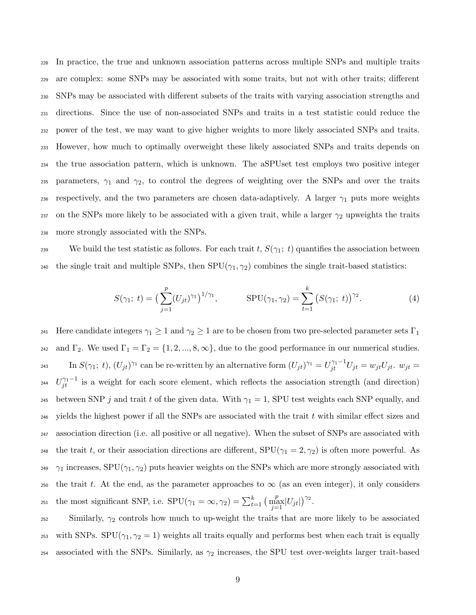In practice, the true and unknown association patterns across multiple SNPs and multiple traits are complex: some SNPs may be associated with some traits, but not with other traits; different SNPs may be associated with different subsets of the traits with varying association strengths and directions. Since the use of non-associated SNPs and traits in a test statistic could reduce the power of the test, we may want to give higher weights to more likely associated SNPs and traits. However, how much to optimally overweight these likely associated SNPs and traits depends on the true association pattern, which is unknown. The aSPUset test employs two positive integer 235 parameters,  $\gamma_1$  and  $\gamma_2$ , to control the degrees of weighting over the SNPs and over the traits 236 respectively, and the two parameters are chosen data-adaptively. A larger  $\gamma_1$  puts more weights 237 on the SNPs more likely to be associated with a given trait, while a larger  $\gamma_2$  upweights the traits more strongly associated with the SNPs.

239 We build the test statistic as follows. For each trait t,  $S(\gamma_1; t)$  quantifies the association between 240 the single trait and multiple SNPs, then  $SPU(\gamma_1, \gamma_2)$  combines the single trait-based statistics:

$$
S(\gamma_1; t) = \left(\sum_{j=1}^p (U_{jt})^{\gamma_1}\right)^{1/\gamma_1}, \qquad \text{SPU}(\gamma_1, \gamma_2) = \sum_{t=1}^k \left(S(\gamma_1; t)\right)^{\gamma_2}.
$$
 (4)

241 Here candidate integers  $\gamma_1 \geq 1$  and  $\gamma_2 \geq 1$  are to be chosen from two pre-selected parameter sets  $\Gamma_1$ 242 and  $\Gamma_2$ . We used  $\Gamma_1 = \Gamma_2 = \{1, 2, ..., 8, \infty\}$ , due to the good performance in our numerical studies.  $\text{Im } S(\gamma_1; t), (U_{jt})^{\gamma_1} \text{ can be re-written by an alternative form } (U_{jt})^{\gamma_1} = U_{jt}^{\gamma_1 - 1} U_{jt} = w_{jt} U_{jt}.$   $w_{jt} = w_{jt} U_{jt}$ <sup>244</sup>  $U_{jt}^{\gamma_1-1}$  is a weight for each score element, which reflects the association strength (and direction) 245 between SNP j and trait t of the given data. With  $\gamma_1 = 1$ , SPU test weights each SNP equally, and  $_{246}$  yields the highest power if all the SNPs are associated with the trait t with similar effect sizes and <sup>247</sup> association direction (i.e. all positive or all negative). When the subset of SNPs are associated with 248 the trait t, or their association directions are different,  $SPU(\gamma_1 = 2, \gamma_2)$  is often more powerful. As <sup>249</sup>  $\gamma_1$  increases, SPU( $\gamma_1$ ,  $\gamma_2$ ) puts heavier weights on the SNPs which are more strongly associated with 250 the trait t. At the end, as the parameter approaches to  $\infty$  (as an even integer), it only considers 251 the most significant SNP, i.e.  $SPU(\gamma_1 = \infty, \gamma_2) = \sum_{t=1}^k \left( \frac{p}{j} |U_{jt}| \right)^{\gamma_2}$ .

 $252$  Similarly,  $\gamma_2$  controls how much to up-weight the traits that are more likely to be associated <sup>253</sup> with SNPs. SPU( $\gamma_1, \gamma_2 = 1$ ) weights all traits equally and performs best when each trait is equally 254 associated with the SNPs. Similarly, as  $\gamma_2$  increases, the SPU test over-weights larger trait-based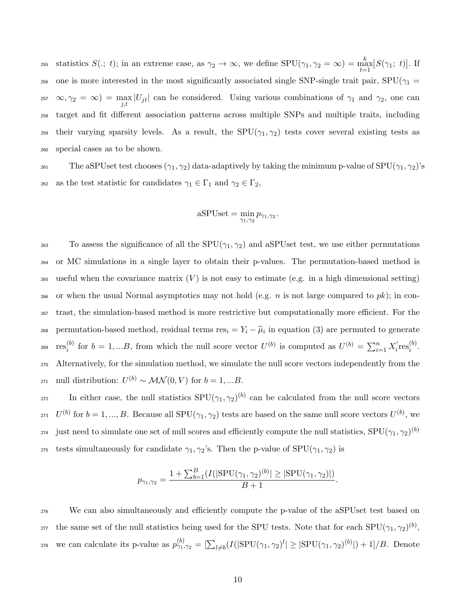the statistics  $S(., t)$ ; in an extreme case, as  $\gamma_2 \to \infty$ , we define  $SPU(\gamma_1, \gamma_2 = \infty) = \max_{t=1}^k |S(\gamma_1; t)|$ . If 256 one is more interested in the most significantly associated single SNP-single trait pair,  $SPU(\gamma_1 =$ 257  $\infty, \gamma_2 = \infty$  = max |U<sub>jt</sub>| can be considered. Using various combinations of  $\gamma_1$  and  $\gamma_2$ , one can <sup>258</sup> target and fit different association patterns across multiple SNPs and multiple traits, including 259 their varying sparsity levels. As a result, the SPU( $\gamma_1, \gamma_2$ ) tests cover several existing tests as <sup>260</sup> special cases as to be shown.

261 The aSPUset test chooses  $(\gamma_1, \gamma_2)$  data-adaptively by taking the minimum p-value of  $SPU(\gamma_1, \gamma_2)$ 's 262 as the test statistic for candidates  $\gamma_1 \in \Gamma_1$  and  $\gamma_2 \in \Gamma_2$ ,

$$
aSPUset = \min_{\gamma_1, \gamma_2} p_{\gamma_1, \gamma_2}.
$$

263 To assess the significance of all the  $SPU(\gamma_1, \gamma_2)$  and aSPUset test, we use either permutations <sup>264</sup> or MC simulations in a single layer to obtain their p-values. The permutation-based method is 265 useful when the covariance matrix  $(V)$  is not easy to estimate (e.g. in a high dimensional setting) 266 or when the usual Normal asymptotics may not hold (e.g. *n* is not large compared to  $pk$ ); in con-<sup>267</sup> trast, the simulation-based method is more restrictive but computationally more efficient. For the permutation-based method, residual terms  $res_i = Y_i - \hat{\mu}_i$  in equation (3) are permuted to generate  $\mathrm{res}_i^{(b)}$ (b) for  $b = 1,...B$ , from which the null score vector  $U^{(b)}$  is computed as  $U^{(b)} = \sum_{i=1}^{n} X_i'$  $i$ <sup>r</sup>es $i$ <sup>(b)</sup>  $\cos^{-1} \cos^{(0)}_i$  for  $b = 1, ...B$ , from which the null score vector  $U^{(b)}$  is computed as  $U^{(b)} = \sum_{i=1}^n X_i^{'} \text{res}_i^{(0)}$ . <sup>270</sup> Alternatively, for the simulation method, we simulate the null score vectors independently from the 271 null distribution:  $U^{(b)} \sim \mathcal{MN}(0, V)$  for  $b = 1, ...B$ .

272 In either case, the null statistics  $SPU(\gamma_1, \gamma_2)^{(b)}$  can be calculated from the null score vectors <sup>273</sup>  $U^{(b)}$  for  $b = 1, ..., B$ . Because all SPU( $\gamma_1, \gamma_2$ ) tests are based on the same null score vectors  $U^{(b)}$ , we just need to simulate one set of null scores and efficiently compute the null statistics,  $\text{SPU}(\gamma_1, \gamma_2)^{(b)}$ 274 275 tests simultaneously for candidate  $\gamma_1, \gamma_2$ 's. Then the p-value of SPU( $\gamma_1, \gamma_2$ ) is

$$
p_{\gamma_1,\gamma_2} = \frac{1 + \sum_{b=1}^B (I(|\text{SPU}(\gamma_1,\gamma_2)^{(b)}| \geq |\text{SPU}(\gamma_1,\gamma_2)|)}{B+1}.
$$

<sup>276</sup> We can also simultaneously and efficiently compute the p-value of the aSPUset test based on <sup>277</sup> the same set of the null statistics being used for the SPU tests. Note that for each  $SPU(\gamma_1, \gamma_2)^{(b)}$ , 278 we can calculate its p-value as  $p_{\gamma_1,\gamma_2}^{(b)} = \left[\sum_{l \neq b} (I(|SPU(\gamma_1, \gamma_2)^l| \geq |SPU(\gamma_1, \gamma_2)^{(b)}|) + 1]/B$ . Denote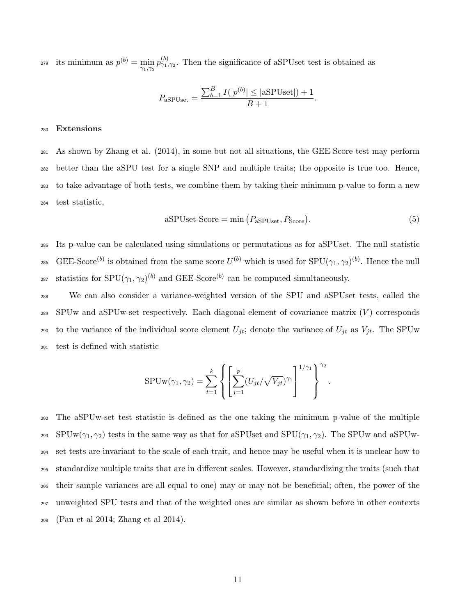its minimum as  $p^{(b)} = \min_{\gamma_1, \gamma_2} p^{(b)}_{\gamma_1, \gamma_2}$ . Then the significance of aSPUset test is obtained as

$$
P_{\text{aSPUset}} = \frac{\sum_{b=1}^{B} I(|p^{(b)}| \leq |\text{aSPUset}|) + 1}{B + 1}.
$$

#### <sup>280</sup> Extensions

 As shown by Zhang et al. (2014), in some but not all situations, the GEE-Score test may perform better than the aSPU test for a single SNP and multiple traits; the opposite is true too. Hence, to take advantage of both tests, we combine them by taking their minimum p-value to form a new test statistic,

$$
aSPUse t-Score = \min (P_{aSPUse t}, P_{Score}).
$$
\n(5)

<sup>285</sup> Its p-value can be calculated using simulations or permutations as for aSPUset. The null statistic 286 GEE-Score<sup>(b)</sup> is obtained from the same score  $U^{(b)}$  which is used for  $SPU(\gamma_1, \gamma_2)^{(b)}$ . Hence the null <sup>287</sup> statistics for SPU( $\gamma_1, \gamma_2$ )<sup>(b)</sup> and GEE-Score<sup>(b)</sup> can be computed simultaneously.

 We can also consider a variance-weighted version of the SPU and aSPUset tests, called the SPUw and aSPUw-set respectively. Each diagonal element of covariance matrix  $(V)$  corresponds to the variance of the individual score element  $U_{jt}$ ; denote the variance of  $U_{jt}$  as  $V_{jt}$ . The SPUw test is defined with statistic

$$
SPUw(\gamma_1, \gamma_2) = \sum_{t=1}^k \left\{ \left[ \sum_{j=1}^p (U_{jt} / \sqrt{V_{jt}})^{\gamma_1} \right]^{1/\gamma_1} \right\}^{\gamma_2}.
$$

 The aSPUw-set test statistic is defined as the one taking the minimum p-value of the multiple 293 SPUw $(\gamma_1, \gamma_2)$  tests in the same way as that for aSPUset and SPU $(\gamma_1, \gamma_2)$ . The SPUw and aSPUw- set tests are invariant to the scale of each trait, and hence may be useful when it is unclear how to standardize multiple traits that are in different scales. However, standardizing the traits (such that their sample variances are all equal to one) may or may not be beneficial; often, the power of the unweighted SPU tests and that of the weighted ones are similar as shown before in other contexts (Pan et al 2014; Zhang et al 2014).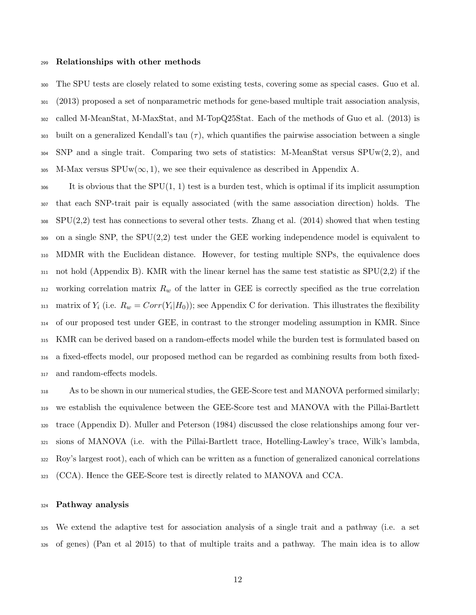#### Relationships with other methods

 The SPU tests are closely related to some existing tests, covering some as special cases. Guo et al. (2013) proposed a set of nonparametric methods for gene-based multiple trait association analysis, called M-MeanStat, M-MaxStat, and M-TopQ25Stat. Each of the methods of Guo et al. (2013) is 303 built on a generalized Kendall's tau  $(\tau)$ , which quantifies the pairwise association between a single SNP and a single trait. Comparing two sets of statistics: M-MeanStat versus SPUw(2, 2), and 305 M-Max versus  $SPUw(\infty, 1)$ , we see their equivalence as described in Appendix A.

 $\frac{306}{100}$  It is obvious that the SPU(1, 1) test is a burden test, which is optimal if its implicit assumption that each SNP-trait pair is equally associated (with the same association direction) holds. The SPU(2,2) test has connections to several other tests. Zhang et al. (2014) showed that when testing on a single SNP, the SPU(2,2) test under the GEE working independence model is equivalent to MDMR with the Euclidean distance. However, for testing multiple SNPs, the equivalence does 311 not hold (Appendix B). KMR with the linear kernel has the same test statistic as  $SPU(2,2)$  if the 312 working correlation matrix  $R_w$  of the latter in GEE is correctly specified as the true correlation <sup>313</sup> matrix of  $Y_i$  (i.e.  $R_w = Corr(Y_i|H_0)$ ); see Appendix C for derivation. This illustrates the flexibility of our proposed test under GEE, in contrast to the stronger modeling assumption in KMR. Since KMR can be derived based on a random-effects model while the burden test is formulated based on a fixed-effects model, our proposed method can be regarded as combining results from both fixed-and random-effects models.

 As to be shown in our numerical studies, the GEE-Score test and MANOVA performed similarly; we establish the equivalence between the GEE-Score test and MANOVA with the Pillai-Bartlett trace (Appendix D). Muller and Peterson (1984) discussed the close relationships among four ver- sions of MANOVA (i.e. with the Pillai-Bartlett trace, Hotelling-Lawley's trace, Wilk's lambda, Roy's largest root), each of which can be written as a function of generalized canonical correlations (CCA). Hence the GEE-Score test is directly related to MANOVA and CCA.

#### Pathway analysis

 We extend the adaptive test for association analysis of a single trait and a pathway (i.e. a set of genes) (Pan et al 2015) to that of multiple traits and a pathway. The main idea is to allow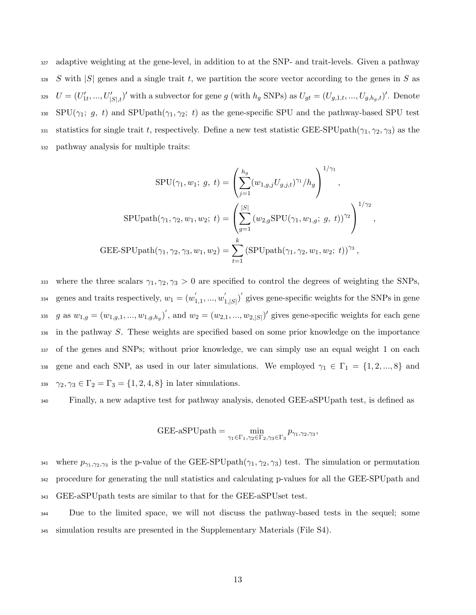<sup>327</sup> adaptive weighting at the gene-level, in addition to at the SNP- and trait-levels. Given a pathway 328 S with  $|S|$  genes and a single trait t, we partition the score vector according to the genes in S as 329  $U = (U'_{1t},...,U'_{|S|,t})'$  with a subvector for gene g (with  $h_g$  SNPs) as  $U_{gt} = (U_{g,1,t},...,U_{g,h_g,t})'$ . Denote 330 SPU( $\gamma_1$ ; g, t) and SPUpath( $\gamma_1, \gamma_2$ ; t) as the gene-specific SPU and the pathway-based SPU test 331 statistics for single trait t, respectively. Define a new test statistic GEE-SPUpath $(\gamma_1, \gamma_2, \gamma_3)$  as the <sup>332</sup> pathway analysis for multiple traits:

$$
SPU(\gamma_1, w_1; g, t) = \left(\sum_{j=1}^{h_g} (w_{1,g,j} U_{g,j,t})^{\gamma_1} / h_g\right)^{1/\gamma_1},
$$
  
\n
$$
SPUpath(\gamma_1, \gamma_2, w_1, w_2; t) = \left(\sum_{g=1}^{|S|} (w_{2,g} SPU(\gamma_1, w_{1,g}; g, t))^{\gamma_2}\right)^{1/\gamma_2},
$$
  
\n
$$
GEE-SPUpath(\gamma_1, \gamma_2, \gamma_3, w_1, w_2) = \sum_{t=1}^k (SPUpath(\gamma_1, \gamma_2, w_1, w_2; t))^{\gamma_3},
$$

333 where the three scalars  $\gamma_1, \gamma_2, \gamma_3 > 0$  are specified to control the degrees of weighting the SNPs, genes and traits respectively,  $w_1 = (w_1)$  $\frac{1}{1,1},...,\frac{w_1}{w_1}$ <sup>334</sup> genes and traits respectively,  $w_1 = (w'_{1,1}, ..., w'_{1,|S|})'$  gives gene-specific weights for the SNPs in gene 335 g as  $w_{1,g} = (w_{1,g,1}, ..., w_{1,g,h_g})'$ , and  $w_2 = (w_{2,1}, ..., w_{2,|S|})'$  gives gene-specific weights for each gene <sup>336</sup> in the pathway S. These weights are specified based on some prior knowledge on the importance <sup>337</sup> of the genes and SNPs; without prior knowledge, we can simply use an equal weight 1 on each 338 gene and each SNP, as used in our later simulations. We employed  $\gamma_1 \in \Gamma_1 = \{1, 2, ..., 8\}$  and 339  $\gamma_2, \gamma_3 \in \Gamma_2 = \Gamma_3 = \{1, 2, 4, 8\}$  in later simulations.

<sup>340</sup> Finally, a new adaptive test for pathway analysis, denoted GEE-aSPUpath test, is defined as

$$
GEE-aSPUpath = \min_{\gamma_1 \in \Gamma_1, \gamma_2 \in \Gamma_2, \gamma_3 \in \Gamma_3} p_{\gamma_1, \gamma_2, \gamma_3},
$$

341 where  $p_{\gamma_1,\gamma_2,\gamma_3}$  is the p-value of the GEE-SPUpath $(\gamma_1, \gamma_2, \gamma_3)$  test. The simulation or permutation <sup>342</sup> procedure for generating the null statistics and calculating p-values for all the GEE-SPUpath and <sup>343</sup> GEE-aSPUpath tests are similar to that for the GEE-aSPUset test.

<sup>344</sup> Due to the limited space, we will not discuss the pathway-based tests in the sequel; some <sup>345</sup> simulation results are presented in the Supplementary Materials (File S4).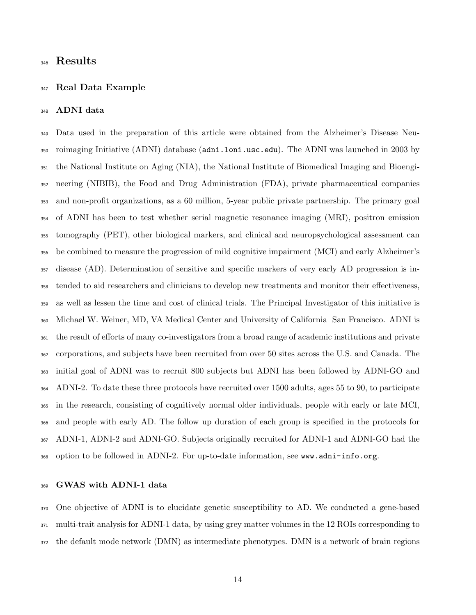# Results

#### Real Data Example

#### ADNI data

 Data used in the preparation of this article were obtained from the Alzheimer's Disease Neu- roimaging Initiative (ADNI) database (adni.loni.usc.edu). The ADNI was launched in 2003 by the National Institute on Aging (NIA), the National Institute of Biomedical Imaging and Bioengi- neering (NIBIB), the Food and Drug Administration (FDA), private pharmaceutical companies and non-profit organizations, as a 60 million, 5-year public private partnership. The primary goal of ADNI has been to test whether serial magnetic resonance imaging (MRI), positron emission tomography (PET), other biological markers, and clinical and neuropsychological assessment can be combined to measure the progression of mild cognitive impairment (MCI) and early Alzheimer's disease (AD). Determination of sensitive and specific markers of very early AD progression is in- tended to aid researchers and clinicians to develop new treatments and monitor their effectiveness, as well as lessen the time and cost of clinical trials. The Principal Investigator of this initiative is Michael W. Weiner, MD, VA Medical Center and University of California San Francisco. ADNI is the result of efforts of many co-investigators from a broad range of academic institutions and private corporations, and subjects have been recruited from over 50 sites across the U.S. and Canada. The initial goal of ADNI was to recruit 800 subjects but ADNI has been followed by ADNI-GO and ADNI-2. To date these three protocols have recruited over 1500 adults, ages 55 to 90, to participate in the research, consisting of cognitively normal older individuals, people with early or late MCI, and people with early AD. The follow up duration of each group is specified in the protocols for ADNI-1, ADNI-2 and ADNI-GO. Subjects originally recruited for ADNI-1 and ADNI-GO had the option to be followed in ADNI-2. For up-to-date information, see www.adni-info.org.

### GWAS with ADNI-1 data

 One objective of ADNI is to elucidate genetic susceptibility to AD. We conducted a gene-based multi-trait analysis for ADNI-1 data, by using grey matter volumes in the 12 ROIs corresponding to the default mode network (DMN) as intermediate phenotypes. DMN is a network of brain regions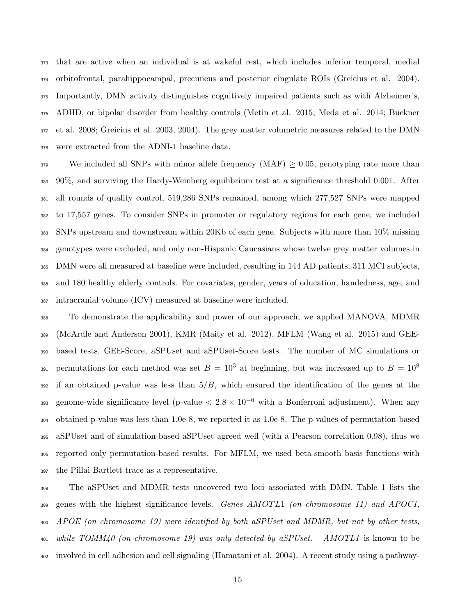that are active when an individual is at wakeful rest, which includes inferior temporal, medial orbitofrontal, parahippocampal, precuneus and posterior cingulate ROIs (Greicius et al. 2004). Importantly, DMN activity distinguishes cognitively impaired patients such as with Alzheimer's, ADHD, or bipolar disorder from healthy controls (Metin et al. 2015; Meda et al. 2014; Buckner et al. 2008; Greicius et al. 2003, 2004). The grey matter volumetric measures related to the DMN were extracted from the ADNI-1 baseline data.

 We included all SNPs with minor allele frequency (MAF)  $> 0.05$ , genotyping rate more than 90%, and surviving the Hardy-Weinberg equilibrium test at a significance threshold 0.001. After all rounds of quality control, 519,286 SNPs remained, among which 277,527 SNPs were mapped to 17,557 genes. To consider SNPs in promoter or regulatory regions for each gene, we included SNPs upstream and downstream within 20Kb of each gene. Subjects with more than 10% missing genotypes were excluded, and only non-Hispanic Caucasians whose twelve grey matter volumes in DMN were all measured at baseline were included, resulting in 144 AD patients, 311 MCI subjects, and 180 healthy elderly controls. For covariates, gender, years of education, handedness, age, and intracranial volume (ICV) measured at baseline were included.

 To demonstrate the applicability and power of our approach, we applied MANOVA, MDMR (McArdle and Anderson 2001), KMR (Maity et al. 2012), MFLM (Wang et al. 2015) and GEE- based tests, GEE-Score, aSPUset and aSPUset-Score tests. The number of MC simulations or permutations for each method was set  $B = 10^3$  at beginning, but was increased up to  $B = 10^8$  if an obtained p-value was less than  $5/B$ , which ensured the identification of the genes at the genome-wide significance level (p-value  $< 2.8 \times 10^{-6}$  with a Bonferroni adjustment). When any obtained p-value was less than 1.0e-8, we reported it as 1.0e-8. The p-values of permutation-based aSPUset and of simulation-based aSPUset agreed well (with a Pearson correlation 0.98), thus we reported only permutation-based results. For MFLM, we used beta-smooth basis functions with the Pillai-Bartlett trace as a representative.

 The aSPUset and MDMR tests uncovered two loci associated with DMN. Table 1 lists the 399 genes with the highest significance levels. Genes  $AMOTL1$  (on chromosome 11) and  $APOC1$ , APOE (on chromosome 19) were identified by both aSPUset and MDMR, but not by other tests,  $\mu_{01}$  while TOMM40 (on chromosome 19) was only detected by aSPUset. AMOTL1 is known to be involved in cell adhesion and cell signaling (Hamatani et al. 2004). A recent study using a pathway-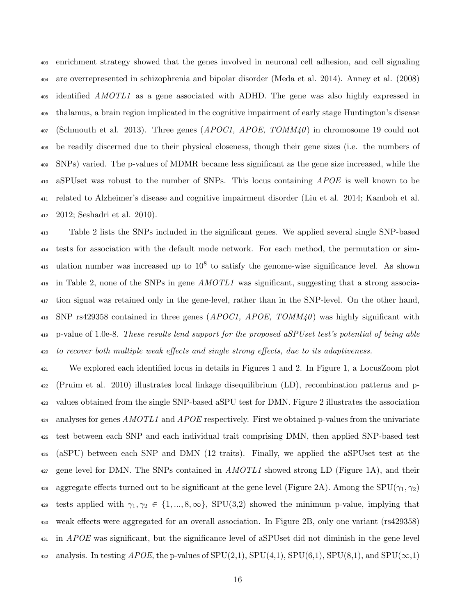enrichment strategy showed that the genes involved in neuronal cell adhesion, and cell signaling are overrepresented in schizophrenia and bipolar disorder (Meda et al. 2014). Anney et al. (2008) <sup>405</sup> identified *AMOTL1* as a gene associated with ADHD. The gene was also highly expressed in thalamus, a brain region implicated in the cognitive impairment of early stage Huntington's disease (Schmouth et al. 2013). Three genes (*APOC1*, *APOE*, *TOMM40*) in chromosome 19 could not be readily discerned due to their physical closeness, though their gene sizes (i.e. the numbers of SNPs) varied. The p-values of MDMR became less significant as the gene size increased, while the 410 aSPUset was robust to the number of SNPs. This locus containing *APOE* is well known to be related to Alzheimer's disease and cognitive impairment disorder (Liu et al. 2014; Kamboh et al. 2012; Seshadri et al. 2010).

 Table 2 lists the SNPs included in the significant genes. We applied several single SNP-based tests for association with the default mode network. For each method, the permutation or sim- $\mu_{415}$  ulation number was increased up to  $10^8$  to satisfy the genome-wise significance level. As shown in Table 2, none of the SNPs in gene AMOTL1 was significant, suggesting that a strong associa- tion signal was retained only in the gene-level, rather than in the SNP-level. On the other hand, 418 SNP rs429358 contained in three genes  $(APOC1, APOE, TOMM40)$  was highly significant with p-value of 1.0e-8. These results lend support for the proposed aSPUset test's potential of being able to recover both multiple weak effects and single strong effects, due to its adaptiveness.

 We explored each identified locus in details in Figures 1 and 2. In Figure 1, a LocusZoom plot (Pruim et al. 2010) illustrates local linkage disequilibrium (LD), recombination patterns and p- values obtained from the single SNP-based aSPU test for DMN. Figure 2 illustrates the association analyses for genes AMOTL1 and APOE respectively. First we obtained p-values from the univariate test between each SNP and each individual trait comprising DMN, then applied SNP-based test (aSPU) between each SNP and DMN (12 traits). Finally, we applied the aSPUset test at the gene level for DMN. The SNPs contained in  $AMOTL1$  showed strong LD (Figure 1A), and their 428 aggregate effects turned out to be significant at the gene level (Figure 2A). Among the SPU( $\gamma_1, \gamma_2$ ) 429 tests applied with  $\gamma_1, \gamma_2 \in \{1, ..., 8, \infty\}$ , SPU(3,2) showed the minimum p-value, implying that weak effects were aggregated for an overall association. In Figure 2B, only one variant (rs429358) in *APOE* was significant, but the significance level of aSPUset did not diminish in the gene level 432 analysis. In testing  $APOE$ , the p-values of  $SPU(2,1)$ ,  $SPU(4,1)$ ,  $SPU(6,1)$ ,  $SPU(8,1)$ , and  $SPU(\infty,1)$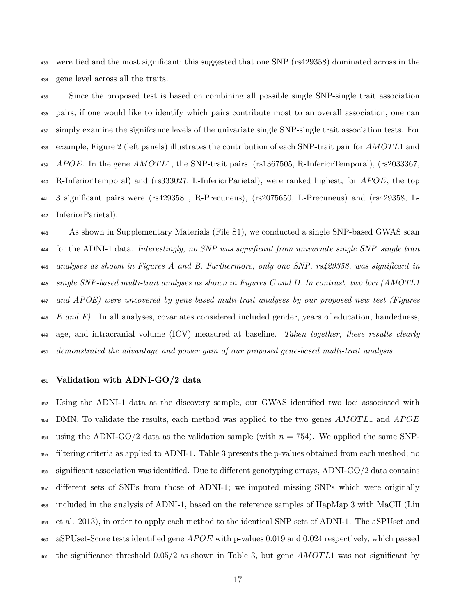were tied and the most significant; this suggested that one SNP (rs429358) dominated across in the gene level across all the traits.

 Since the proposed test is based on combining all possible single SNP-single trait association pairs, if one would like to identify which pairs contribute most to an overall association, one can simply examine the signifcance levels of the univariate single SNP-single trait association tests. For <sup>438</sup> example, Figure 2 (left panels) illustrates the contribution of each SNP-trait pair for AMOT L1 and APOE. In the gene AMOTL1, the SNP-trait pairs, (rs1367505, R-InferiorTemporal), (rs2033367, 440 R-InferiorTemporal) and (rs333027, L-InferiorParietal), were ranked highest; for APOE, the top 3 significant pairs were (rs429358 , R-Precuneus), (rs2075650, L-Precuneus) and (rs429358, L-InferiorParietal).

 As shown in Supplementary Materials (File S1), we conducted a single SNP-based GWAS scan <sup>444</sup> for the ADNI-1 data. Interestingly, no SNP was significant from univariate single SNP-single trait analyses as shown in Figures A and B. Furthermore, only one SNP, rs429358, was significant in single SNP-based multi-trait analyses as shown in Figures C and D. In contrast, two loci (AMOTL1 and APOE) were uncovered by gene-based multi-trait analyses by our proposed new test (Figures E and F). In all analyses, covariates considered included gender, years of education, handedness, <sub>449</sub> age, and intracranial volume (ICV) measured at baseline. Taken together, these results clearly demonstrated the advantage and power gain of our proposed gene-based multi-trait analysis.

#### Validation with ADNI-GO/2 data

 Using the ADNI-1 data as the discovery sample, our GWAS identified two loci associated with DMN. To validate the results, each method was applied to the two genes AMOTL1 and APOE 454 using the ADNI-GO/2 data as the validation sample (with  $n = 754$ ). We applied the same SNP- filtering criteria as applied to ADNI-1. Table 3 presents the p-values obtained from each method; no significant association was identified. Due to different genotyping arrays, ADNI-GO/2 data contains different sets of SNPs from those of ADNI-1; we imputed missing SNPs which were originally included in the analysis of ADNI-1, based on the reference samples of HapMap 3 with MaCH (Liu et al. 2013), in order to apply each method to the identical SNP sets of ADNI-1. The aSPUset and 460 aSPUset-Score tests identified gene  $APOE$  with p-values 0.019 and 0.024 respectively, which passed  $_{461}$  the significance threshold 0.05/2 as shown in Table 3, but gene AMOTL1 was not significant by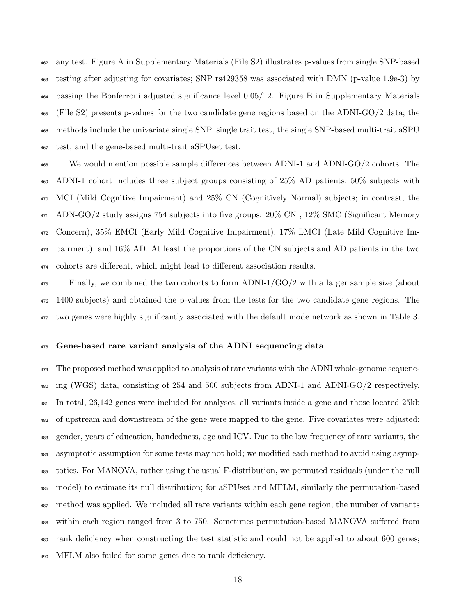any test. Figure A in Supplementary Materials (File S2) illustrates p-values from single SNP-based testing after adjusting for covariates; SNP rs429358 was associated with DMN (p-value 1.9e-3) by passing the Bonferroni adjusted significance level 0.05/12. Figure B in Supplementary Materials (File S2) presents p-values for the two candidate gene regions based on the ADNI-GO/2 data; the methods include the univariate single SNP–single trait test, the single SNP-based multi-trait aSPU test, and the gene-based multi-trait aSPUset test.

 We would mention possible sample differences between ADNI-1 and ADNI-GO/2 cohorts. The ADNI-1 cohort includes three subject groups consisting of 25% AD patients, 50% subjects with MCI (Mild Cognitive Impairment) and 25% CN (Cognitively Normal) subjects; in contrast, the ADN-GO/2 study assigns 754 subjects into five groups: 20% CN , 12% SMC (Significant Memory Concern), 35% EMCI (Early Mild Cognitive Impairment), 17% LMCI (Late Mild Cognitive Im- pairment), and 16% AD. At least the proportions of the CN subjects and AD patients in the two cohorts are different, which might lead to different association results.

 Finally, we combined the two cohorts to form ADNI-1/GO/2 with a larger sample size (about 1400 subjects) and obtained the p-values from the tests for the two candidate gene regions. The two genes were highly significantly associated with the default mode network as shown in Table 3.

### Gene-based rare variant analysis of the ADNI sequencing data

<sup>479</sup> The proposed method was applied to analysis of rare variants with the ADNI whole-genome sequenc- ing (WGS) data, consisting of 254 and 500 subjects from ADNI-1 and ADNI-GO/2 respectively. In total, 26,142 genes were included for analyses; all variants inside a gene and those located 25kb of upstream and downstream of the gene were mapped to the gene. Five covariates were adjusted: gender, years of education, handedness, age and ICV. Due to the low frequency of rare variants, the asymptotic assumption for some tests may not hold; we modified each method to avoid using asymp- totics. For MANOVA, rather using the usual F-distribution, we permuted residuals (under the null model) to estimate its null distribution; for aSPUset and MFLM, similarly the permutation-based method was applied. We included all rare variants within each gene region; the number of variants within each region ranged from 3 to 750. Sometimes permutation-based MANOVA suffered from rank deficiency when constructing the test statistic and could not be applied to about 600 genes; MFLM also failed for some genes due to rank deficiency.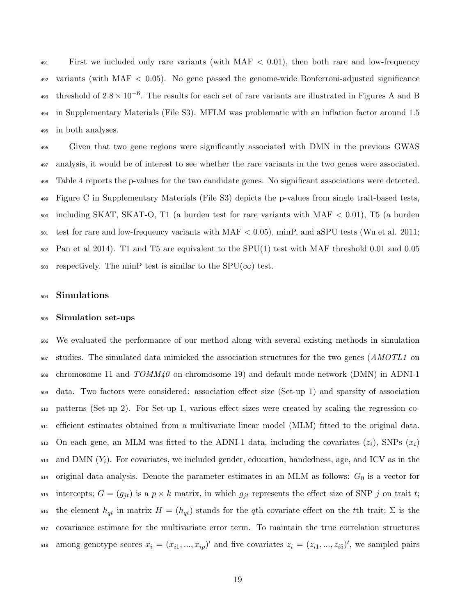First we included only rare variants (with MAF  $<$  0.01), then both rare and low-frequency 492 variants (with MAF  $< 0.05$ ). No gene passed the genome-wide Bonferroni-adjusted significance 493 threshold of  $2.8 \times 10^{-6}$ . The results for each set of rare variants are illustrated in Figures A and B in Supplementary Materials (File S3). MFLM was problematic with an inflation factor around 1.5 in both analyses.

 Given that two gene regions were significantly associated with DMN in the previous GWAS analysis, it would be of interest to see whether the rare variants in the two genes were associated. Table 4 reports the p-values for the two candidate genes. No significant associations were detected. Figure C in Supplementary Materials (File S3) depicts the p-values from single trait-based tests, including SKAT, SKAT-O, T1 (a burden test for rare variants with MAF  $< 0.01$ ), T5 (a burden  $_{501}$  test for rare and low-frequency variants with MAF  $<$  0.05), minP, and aSPU tests (Wu et al. 2011; Pan et al 2014). T1 and T5 are equivalent to the SPU(1) test with MAF threshold 0.01 and 0.05 503 respectively. The minP test is similar to the  $SPU(\infty)$  test.

#### Simulations

#### Simulation set-ups

 We evaluated the performance of our method along with several existing methods in simulation <sub>507</sub> studies. The simulated data mimicked the association structures for the two genes (*AMOTL1* on chromosome 11 and  $TOMM40$  on chromosome 19) and default mode network (DMN) in ADNI-1 data. Two factors were considered: association effect size (Set-up 1) and sparsity of association patterns (Set-up 2). For Set-up 1, various effect sizes were created by scaling the regression co- efficient estimates obtained from a multivariate linear model (MLM) fitted to the original data. 512 On each gene, an MLM was fitted to the ADNI-1 data, including the covariates  $(z_i)$ , SNPs  $(x_i)$  $_{513}$  and DMN  $(Y_i)$ . For covariates, we included gender, education, handedness, age, and ICV as in the original data analysis. Denote the parameter estimates in an MLM as follows:  $G_0$  is a vector for 515 intercepts;  $G = (g_{jt})$  is a  $p \times k$  matrix, in which  $g_{jt}$  represents the effect size of SNP j on trait t; the element  $h_{qt}$  in matrix  $H = (h_{qt})$  stands for the qth covariate effect on the tth trait;  $\Sigma$  is the covariance estimate for the multivariate error term. To maintain the true correlation structures  $\alpha$  among genotype scores  $x_i = (x_{i1},...,x_{ip})'$  and five covariates  $z_i = (z_{i1},...,z_{i5})'$ , we sampled pairs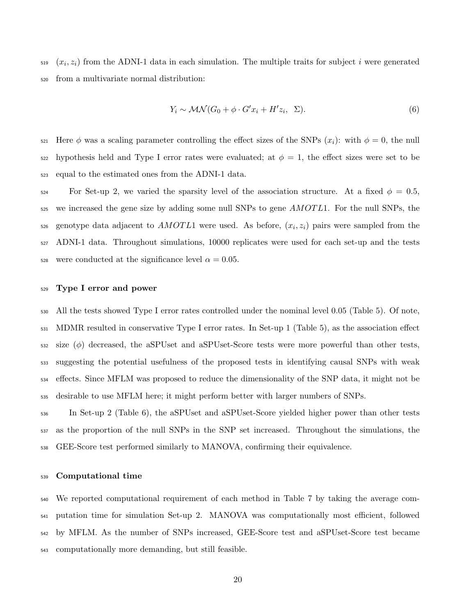$(x_i, z_i)$  from the ADNI-1 data in each simulation. The multiple traits for subject i were generated from a multivariate normal distribution:

$$
Y_i \sim \mathcal{MN}(G_0 + \phi \cdot G'x_i + H'z_i, \Sigma). \tag{6}
$$

521 Here  $\phi$  was a scaling parameter controlling the effect sizes of the SNPs  $(x_i)$ : with  $\phi = 0$ , the null 522 hypothesis held and Type I error rates were evaluated; at  $\phi = 1$ , the effect sizes were set to be equal to the estimated ones from the ADNI-1 data.

524 For Set-up 2, we varied the sparsity level of the association structure. At a fixed  $\phi = 0.5$ , 525 we increased the gene size by adding some null SNPs to gene *AMOTL*1. For the null SNPs, the  $s_{26}$  genotype data adjacent to  $AMOTL1$  were used. As before,  $(x_i, z_i)$  pairs were sampled from the ADNI-1 data. Throughout simulations, 10000 replicates were used for each set-up and the tests 528 were conducted at the significance level  $\alpha = 0.05$ .

#### Type I error and power

 All the tests showed Type I error rates controlled under the nominal level 0.05 (Table 5). Of note, MDMR resulted in conservative Type I error rates. In Set-up 1 (Table 5), as the association effect size ( $\phi$ ) decreased, the aSPUset and aSPUset-Score tests were more powerful than other tests, suggesting the potential usefulness of the proposed tests in identifying causal SNPs with weak effects. Since MFLM was proposed to reduce the dimensionality of the SNP data, it might not be desirable to use MFLM here; it might perform better with larger numbers of SNPs.

 In Set-up 2 (Table 6), the aSPUset and aSPUset-Score yielded higher power than other tests as the proportion of the null SNPs in the SNP set increased. Throughout the simulations, the GEE-Score test performed similarly to MANOVA, confirming their equivalence.

### Computational time

 We reported computational requirement of each method in Table 7 by taking the average com- putation time for simulation Set-up 2. MANOVA was computationally most efficient, followed by MFLM. As the number of SNPs increased, GEE-Score test and aSPUset-Score test became computationally more demanding, but still feasible.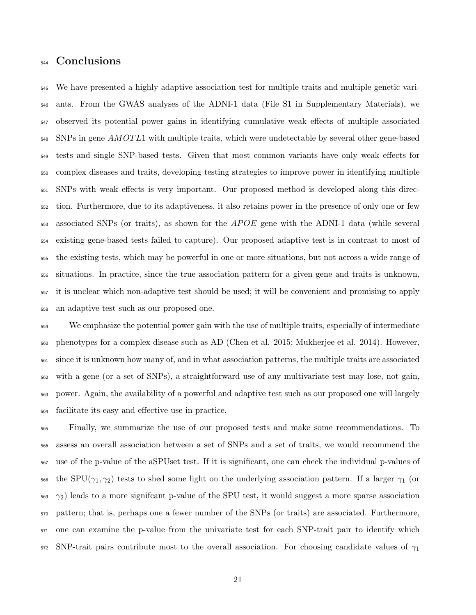# Conclusions

 We have presented a highly adaptive association test for multiple traits and multiple genetic vari- ants. From the GWAS analyses of the ADNI-1 data (File S1 in Supplementary Materials), we observed its potential power gains in identifying cumulative weak effects of multiple associated 548 SNPs in gene AMOT L1 with multiple traits, which were undetectable by several other gene-based tests and single SNP-based tests. Given that most common variants have only weak effects for complex diseases and traits, developing testing strategies to improve power in identifying multiple SNPs with weak effects is very important. Our proposed method is developed along this direc- tion. Furthermore, due to its adaptiveness, it also retains power in the presence of only one or few associated SNPs (or traits), as shown for the  $APOE$  gene with the ADNI-1 data (while several existing gene-based tests failed to capture). Our proposed adaptive test is in contrast to most of the existing tests, which may be powerful in one or more situations, but not across a wide range of situations. In practice, since the true association pattern for a given gene and traits is unknown, it is unclear which non-adaptive test should be used; it will be convenient and promising to apply an adaptive test such as our proposed one.

 We emphasize the potential power gain with the use of multiple traits, especially of intermediate phenotypes for a complex disease such as AD (Chen et al. 2015; Mukherjee et al. 2014). However, since it is unknown how many of, and in what association patterns, the multiple traits are associated with a gene (or a set of SNPs), a straightforward use of any multivariate test may lose, not gain, power. Again, the availability of a powerful and adaptive test such as our proposed one will largely facilitate its easy and effective use in practice.

 Finally, we summarize the use of our proposed tests and make some recommendations. To assess an overall association between a set of SNPs and a set of traits, we would recommend the use of the p-value of the aSPUset test. If it is significant, one can check the individual p-values of 568 the SPU( $\gamma_1, \gamma_2$ ) tests to shed some light on the underlying association pattern. If a larger  $\gamma_1$  (or  $569 \gamma_2$ ) leads to a more significant p-value of the SPU test, it would suggest a more sparse association pattern; that is, perhaps one a fewer number of the SNPs (or traits) are associated. Furthermore, one can examine the p-value from the univariate test for each SNP-trait pair to identify which 572 SNP-trait pairs contribute most to the overall association. For choosing candidate values of  $\gamma_1$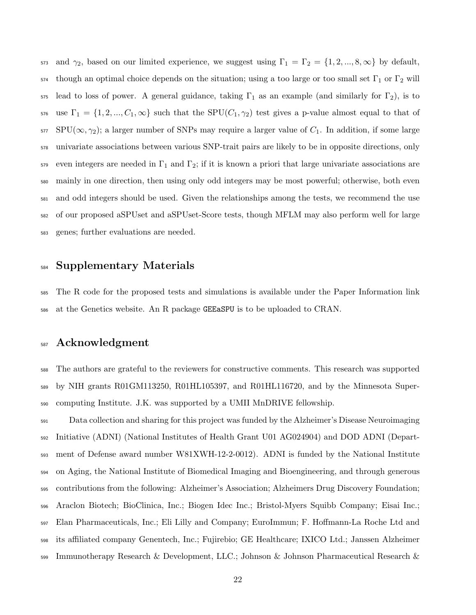573 and  $\gamma_2$ , based on our limited experience, we suggest using  $\Gamma_1 = \Gamma_2 = \{1, 2, ..., 8, \infty\}$  by default, though an optimal choice depends on the situation; using a too large or too small set Γ<sub>1</sub> or Γ<sub>2</sub> will 575 lead to loss of power. A general guidance, taking  $\Gamma_1$  as an example (and similarly for  $\Gamma_2$ ), is to 576 use  $\Gamma_1 = \{1, 2, ..., C_1, \infty\}$  such that the SPU( $C_1, \gamma_2$ ) test gives a p-value almost equal to that of SPU( $\infty$ ,  $\gamma_2$ ); a larger number of SNPs may require a larger value of  $C_1$ . In addition, if some large univariate associations between various SNP-trait pairs are likely to be in opposite directions, only even integers are needed in Γ<sub>1</sub> and Γ<sub>2</sub>; if it is known a priori that large univariate associations are mainly in one direction, then using only odd integers may be most powerful; otherwise, both even and odd integers should be used. Given the relationships among the tests, we recommend the use of our proposed aSPUset and aSPUset-Score tests, though MFLM may also perform well for large genes; further evaluations are needed.

# Supplementary Materials

 The R code for the proposed tests and simulations is available under the Paper Information link at the Genetics website. An R package GEEaSPU is to be uploaded to CRAN.

# Acknowledgment

 The authors are grateful to the reviewers for constructive comments. This research was supported by NIH grants R01GM113250, R01HL105397, and R01HL116720, and by the Minnesota Super-computing Institute. J.K. was supported by a UMII MnDRIVE fellowship.

 Data collection and sharing for this project was funded by the Alzheimer's Disease Neuroimaging Initiative (ADNI) (National Institutes of Health Grant U01 AG024904) and DOD ADNI (Depart- ment of Defense award number W81XWH-12-2-0012). ADNI is funded by the National Institute on Aging, the National Institute of Biomedical Imaging and Bioengineering, and through generous contributions from the following: Alzheimer's Association; Alzheimers Drug Discovery Foundation; Araclon Biotech; BioClinica, Inc.; Biogen Idec Inc.; Bristol-Myers Squibb Company; Eisai Inc.; Elan Pharmaceuticals, Inc.; Eli Lilly and Company; EuroImmun; F. Hoffmann-La Roche Ltd and its affiliated company Genentech, Inc.; Fujirebio; GE Healthcare; IXICO Ltd.; Janssen Alzheimer Immunotherapy Research & Development, LLC.; Johnson & Johnson Pharmaceutical Research &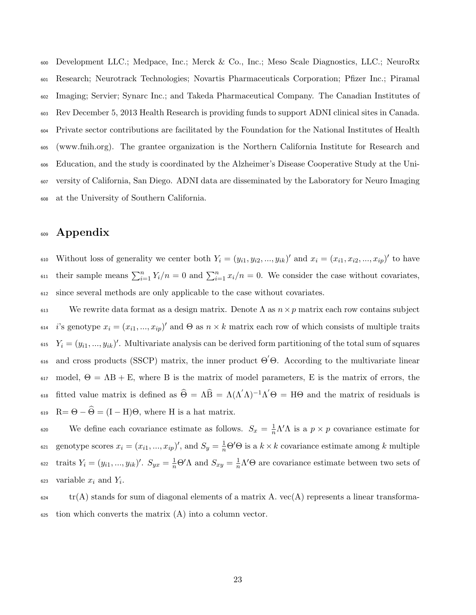Development LLC.; Medpace, Inc.; Merck & Co., Inc.; Meso Scale Diagnostics, LLC.; NeuroRx Research; Neurotrack Technologies; Novartis Pharmaceuticals Corporation; Pfizer Inc.; Piramal Imaging; Servier; Synarc Inc.; and Takeda Pharmaceutical Company. The Canadian Institutes of Rev December 5, 2013 Health Research is providing funds to support ADNI clinical sites in Canada. Private sector contributions are facilitated by the Foundation for the National Institutes of Health (www.fnih.org). The grantee organization is the Northern California Institute for Research and Education, and the study is coordinated by the Alzheimer's Disease Cooperative Study at the Uni- versity of California, San Diego. ADNI data are disseminated by the Laboratory for Neuro Imaging at the University of Southern California.

# <sup>609</sup> Appendix

610 Without loss of generality we center both  $Y_i = (y_{i1}, y_{i2}, ..., y_{ik})'$  and  $x_i = (x_{i1}, x_{i2}, ..., x_{ip})'$  to have  $\sum_{i=1}^{n} Y_i/n = 0$  and  $\sum_{i=1}^{n} x_i/n = 0$ . We consider the case without covariates, <sup>612</sup> since several methods are only applicable to the case without covariates.

613 We rewrite data format as a design matrix. Denote  $\Lambda$  as  $n \times p$  matrix each row contains subject <sup>614</sup> is genotype  $x_i = (x_{i1},...,x_{ip})'$  and  $\Theta$  as  $n \times k$  matrix each row of which consists of multiple traits <sup>615</sup>  $Y_i = (y_{i1},...,y_{ik})'$ . Multivariate analysis can be derived form partitioning of the total sum of squares  $\alpha$ <sub>616</sub> and cross products (SSCP) matrix, the inner product Θ'Θ. According to the multivariate linear 617 model,  $\Theta = AB + E$ , where B is the matrix of model parameters, E is the matrix of errors, the 618 fitted value matrix is defined as  $\hat{\Theta} = \Lambda \hat{B} = \Lambda (\Lambda' \Lambda)^{-1} \Lambda' \Theta = H \Theta$  and the matrix of residuals is 619 R=  $\Theta - \widehat{\Theta} = (I - H)\Theta$ , where H is a hat matrix.

We define each covariance estimate as follows.  $S_x = \frac{1}{n} \Lambda' \Lambda$  is a  $p \times p$  covariance estimate for  $g_{10}$  genotype scores  $x_i = (x_{i1},...,x_{ip})'$ , and  $S_y = \frac{1}{n}\Theta'\Theta$  is a  $k \times k$  covariance estimate among k multiple 622 traits  $Y_i = (y_{i1},...,y_{ik})'$ .  $S_{yx} = \frac{1}{n}Θ'Λ$  and  $S_{xy} = \frac{1}{n}Λ'Θ$  are covariance estimate between two sets of 623 variable  $x_i$  and  $Y_i$ .

 $\text{tr}(A)$  stands for sum of diagonal elements of a matrix A.  $\text{vec}(A)$  represents a linear transforma- $\epsilon_{625}$  tion which converts the matrix  $(A)$  into a column vector.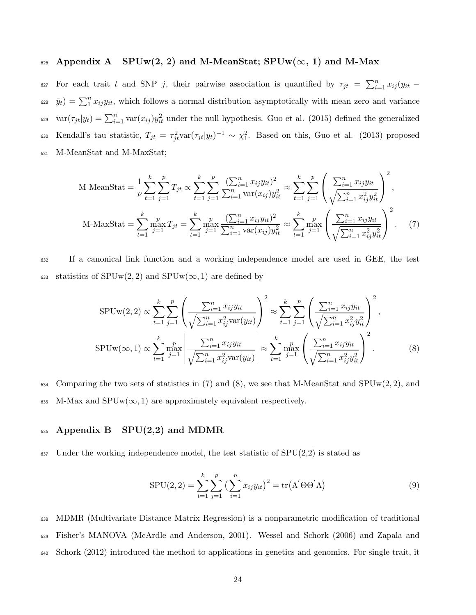### 626 Appendix A  $SPUw(2, 2)$  and M-MeanStat;  $SPUw(\infty, 1)$  and M-Max

627 For each trait t and SNP j, their pairwise association is quantified by  $\tau_{jt} = \sum_{i=1}^{n} x_{ij} (y_{it} \bar{y}_t$ ) =  $\sum_1^n x_{ij} y_{it}$ , which follows a normal distribution asymptotically with mean zero and variance <sup>629</sup> var $(\tau_{jt}|y_t) = \sum_{i=1}^n \text{var}(x_{ij})y_{it}^2$  under the null hypothesis. Guo et al. (2015) defined the generalized 630 Kendall's tau statistic,  $T_{jt} = \tau_{jt}^2 \text{var}(\tau_{jt}|y_t)^{-1} \sim \chi_1^2$ . Based on this, Guo et al. (2013) proposed <sup>631</sup> M-MeanStat and M-MaxStat;

M-MeanStat = 
$$
\frac{1}{p} \sum_{t=1}^{k} \sum_{j=1}^{p} T_{jt} \propto \sum_{t=1}^{k} \sum_{j=1}^{p} \frac{\left(\sum_{i=1}^{n} x_{ij} y_{it}\right)^2}{\sum_{i=1}^{n} \text{var}(x_{ij}) y_{it}^2} \approx \sum_{t=1}^{k} \sum_{j=1}^{p} \left(\frac{\sum_{i=1}^{n} x_{ij} y_{it}}{\sqrt{\sum_{i=1}^{n} x_{ij}^2 y_{it}^2}}\right)^2
$$
,  
M-MaxStat =  $\sum_{t=1}^{k} \max_{j=1}^{p} T_{jt} = \sum_{t=1}^{k} \max_{j=1}^{p} \frac{\left(\sum_{i=1}^{n} x_{ij} y_{it}\right)^2}{\sum_{i=1}^{n} \text{var}(x_{ij}) y_{it}^2} \approx \sum_{t=1}^{k} \max_{j=1}^{p} \left(\frac{\sum_{i=1}^{n} x_{ij} y_{it}}{\sqrt{\sum_{i=1}^{n} x_{ij}^2 y_{it}^2}}\right)^2$ . (7)

<sup>632</sup> If a canonical link function and a working independence model are used in GEE, the test 633 statistics of  $SPUw(2, 2)$  and  $SPUw(\infty, 1)$  are defined by

$$
SPUw(2,2) \propto \sum_{t=1}^{k} \sum_{j=1}^{p} \left( \frac{\sum_{i=1}^{n} x_{ij} y_{it}}{\sqrt{\sum_{i=1}^{n} x_{ij}^2 \text{var}(y_{it})}} \right)^2 \approx \sum_{t=1}^{k} \sum_{j=1}^{p} \left( \frac{\sum_{i=1}^{n} x_{ij} y_{it}}{\sqrt{\sum_{i=1}^{n} x_{ij}^2 y_{it}^2}} \right)^2,
$$
  
\n
$$
SPUw(\infty,1) \propto \sum_{t=1}^{k} \max_{j=1}^{p} \left| \frac{\sum_{i=1}^{n} x_{ij} y_{it}}{\sqrt{\sum_{i=1}^{n} x_{ij}^2 \text{var}(y_{it})}} \right| \approx \sum_{t=1}^{k} \max_{j=1}^{p} \left( \frac{\sum_{i=1}^{n} x_{ij} y_{it}}{\sqrt{\sum_{i=1}^{n} x_{ij}^2 y_{it}^2}} \right)^2.
$$
 (8)

634 Comparing the two sets of statistics in (7) and (8), we see that M-MeanStat and  $SPUw(2, 2)$ , and 635 M-Max and  $SPUw(\infty, 1)$  are approximately equivalent respectively.

#### 636 Appendix B  $SPU(2,2)$  and MDMR

 $637$  Under the working independence model, the test statistic of  $SPU(2,2)$  is stated as

$$
SPU(2,2) = \sum_{t=1}^{k} \sum_{j=1}^{p} \left(\sum_{i=1}^{n} x_{ij} y_{it}\right)^2 = \text{tr}(\Lambda' \Theta \Theta' \Lambda)
$$
\n(9)

<sup>638</sup> MDMR (Multivariate Distance Matrix Regression) is a nonparametric modification of traditional <sup>639</sup> Fisher's MANOVA (McArdle and Anderson, 2001). Wessel and Schork (2006) and Zapala and <sup>640</sup> Schork (2012) introduced the method to applications in genetics and genomics. For single trait, it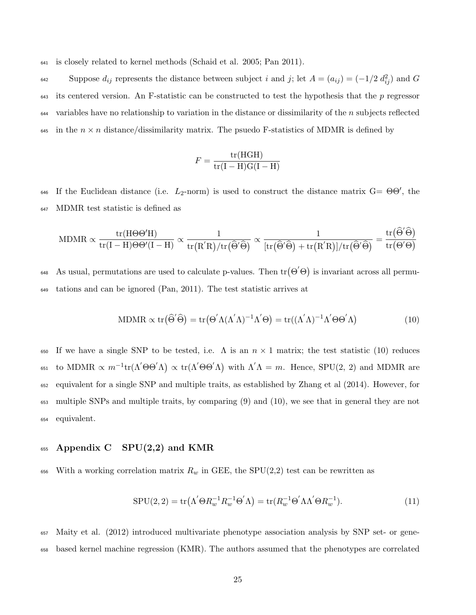<sup>641</sup> is closely related to kernel methods (Schaid et al. 2005; Pan 2011).

Suppose  $d_{ij}$  represents the distance between subject i and j; let  $A = (a_{ij}) = (-1/2 \ d_{ij}^2)$  and G  $\epsilon_{43}$  its centered version. An F-statistic can be constructed to test the hypothesis that the p regressor 644 variables have no relationship to variation in the distance or dissimilarity of the n subjects reflected 645 in the  $n \times n$  distance/dissimilarity matrix. The psuedo F-statistics of MDMR is defined by

$$
F = \frac{\text{tr(HGH)}}{\text{tr(I-H)G(I-H)}}
$$

646 If the Euclidean distance (i.e.  $L_2$ -norm) is used to construct the distance matrix  $G = \Theta \Theta'$ , the <sup>647</sup> MDMR test statistic is defined as

$$
\mathrm{MDMR} \propto \frac{\mathrm{tr}(\mathrm{H}\Theta\Theta'\mathrm{H})}{\mathrm{tr}(\mathrm{I}-\mathrm{H})\Theta\Theta'(\mathrm{I}-\mathrm{H})} \propto \frac{1}{\mathrm{tr}(\mathrm{R}'\mathrm{R})/\mathrm{tr}(\widehat{\Theta}'\widehat{\Theta})} \propto \frac{1}{[\mathrm{tr}(\widehat{\Theta}'\widehat{\Theta}) + \mathrm{tr}(\mathrm{R}'\mathrm{R})]/\mathrm{tr}(\widehat{\Theta}'\widehat{\Theta})} = \frac{\mathrm{tr}(\widehat{\Theta}'\widehat{\Theta})}{\mathrm{tr}(\Theta'\Theta)}
$$

648 As usual, permutations are used to calculate p-values. Then  $\text{tr}(\Theta' \Theta)$  is invariant across all permu-<sup>649</sup> tations and can be ignored (Pan, 2011). The test statistic arrives at

MDMR 
$$
\propto \text{tr}(\widehat{\Theta}'\widehat{\Theta}) = \text{tr}(\Theta'\Lambda(\Lambda'\Lambda)^{-1}\Lambda'\Theta) = \text{tr}((\Lambda'\Lambda)^{-1}\Lambda'\Theta\Theta'\Lambda)
$$
 (10)

650 If we have a single SNP to be tested, i.e.  $\Lambda$  is an  $n \times 1$  matrix; the test statistic (10) reduces <sup>651</sup> to MDMR  $\propto m^{-1}$ tr(Λ'ΘΘ'Λ)  $\propto$  tr(Λ'ΘΘ'Λ) with Λ'Λ = m. Hence, SPU(2, 2) and MDMR are <sup>652</sup> equivalent for a single SNP and multiple traits, as established by Zhang et al (2014). However, for <sup>653</sup> multiple SNPs and multiple traits, by comparing (9) and (10), we see that in general they are not <sup>654</sup> equivalent.

### <sup>655</sup> Appendix C SPU(2,2) and KMR

656 With a working correlation matrix  $R_w$  in GEE, the SPU(2,2) test can be rewritten as

$$
SPU(2,2) = \text{tr}(\Lambda^{'} \Theta R_w^{-1} R_w^{-1} \Theta^{'} \Lambda) = \text{tr}(R_w^{-1} \Theta^{'} \Lambda \Lambda^{'} \Theta R_w^{-1}).
$$
\n(11)

<sup>657</sup> Maity et al. (2012) introduced multivariate phenotype association analysis by SNP set- or gene-<sup>658</sup> based kernel machine regression (KMR). The authors assumed that the phenotypes are correlated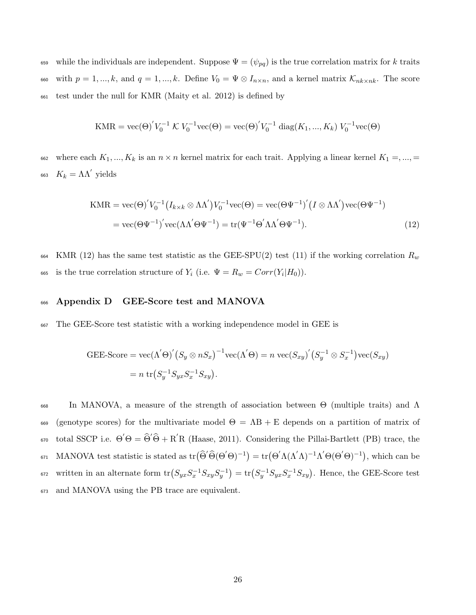<sup>659</sup> while the individuals are independent. Suppose  $\Psi = (\psi_{pq})$  is the true correlation matrix for k traits 660 with  $p = 1, ..., k$ , and  $q = 1, ..., k$ . Define  $V_0 = \Psi \otimes I_{n \times n}$ , and a kernel matrix  $\mathcal{K}_{nk \times nk}$ . The score <sup>661</sup> test under the null for KMR (Maity et al. 2012) is defined by

$$
KMR = \text{vec}(\Theta)' V_0^{-1} \mathcal{K} V_0^{-1} \text{vec}(\Theta) = \text{vec}(\Theta)' V_0^{-1} \text{ diag}(K_1, ..., K_k) V_0^{-1} \text{vec}(\Theta)
$$

662 where each  $K_1, ..., K_k$  is an  $n \times n$  kernel matrix for each trait. Applying a linear kernel  $K_1 = ..., =$ 663  $K_k = \Lambda \Lambda'$  yields

$$
\text{KMR} = \text{vec}(\Theta)' V_0^{-1} \left( I_{k \times k} \otimes \Lambda \Lambda' \right) V_0^{-1} \text{vec}(\Theta) = \text{vec}(\Theta \Psi^{-1})' \left( I \otimes \Lambda \Lambda' \right) \text{vec}(\Theta \Psi^{-1})
$$
\n
$$
= \text{vec}(\Theta \Psi^{-1})' \text{vec}(\Lambda \Lambda' \Theta \Psi^{-1}) = \text{tr}(\Psi^{-1} \Theta' \Lambda \Lambda' \Theta \Psi^{-1}). \tag{12}
$$

664 KMR (12) has the same test statistic as the GEE-SPU(2) test (11) if the working correlation  $R_w$ 665 is the true correlation structure of  $Y_i$  (i.e.  $\Psi = R_w = Corr(Y_i|H_0)$ ).

#### <sup>666</sup> Appendix D GEE-Score test and MANOVA

<sup>667</sup> The GEE-Score test statistic with a working independence model in GEE is

$$
GEE\text{-}Score = \text{vec}(\Lambda' \Theta)' \big( S_y \otimes nS_x \big)^{-1} \text{vec}(\Lambda' \Theta) = n \text{vec}(S_{xy})' \big( S_y^{-1} \otimes S_x^{-1} \big) \text{vec}(S_{xy})
$$

$$
= n \text{tr} \big( S_y^{-1} S_{yx} S_x^{-1} S_{xy} \big).
$$

 $668$  In MANOVA, a measure of the strength of association between Θ (multiple traits) and Λ 669 (genotype scores) for the multivariate model  $\Theta = AB + E$  depends on a partition of matrix of <sup>670</sup> total SSCP i.e.  $\Theta' \Theta = \widehat{\Theta}' \widehat{\Theta} + R' R$  (Haase, 2011). Considering the Pillai-Bartlett (PB) trace, the <sup>671</sup> MANOVA test statistic is stated as  $tr(\widehat{\Theta}' \widehat{\Theta}(\Theta' \Theta)^{-1}) = tr(\Theta' \Lambda (\Lambda' \Lambda)^{-1} \Lambda' \Theta(\Theta' \Theta)^{-1}),$  which can be <sup>672</sup> written in an alternate form  $\text{tr}\left(S_{yx}S_x^{-1}S_{xy}S_y^{-1}\right) = \text{tr}\left(S_y^{-1}S_{yx}S_x^{-1}S_{xy}\right)$ . Hence, the GEE-Score test <sup>673</sup> and MANOVA using the PB trace are equivalent.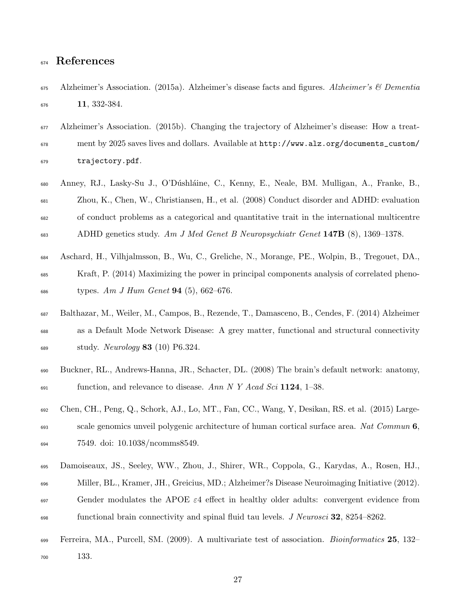# References

- Alzheimer's Association. (2015a). Alzheimer's disease facts and figures. Alzheimer's & Dementia 11, 332-384.
- Alzheimer's Association. (2015b). Changing the trajectory of Alzheimer's disease: How a treat- ment by 2025 saves lives and dollars. Available at http://www.alz.org/documents\_custom/ trajectory.pdf.
- Anney, RJ., Lasky-Su J., O'D´ushl´aine, C., Kenny, E., Neale, BM. Mulligan, A., Franke, B., Zhou, K., Chen, W., Christiansen, H., et al. (2008) Conduct disorder and ADHD: evaluation of conduct problems as a categorical and quantitative trait in the international multicentre 683 ADHD genetics study. Am J Med Genet B Neuropsychiatr Genet  $147B$  (8), 1369–1378.
- Aschard, H., Vilhjalmsson, B., Wu, C., Greliche, N., Morange, PE., Wolpin, B., Tregouet, DA., Kraft, P. (2014) Maximizing the power in principal components analysis of correlated pheno-686 types. Am J Hum Genet **94** (5), 662–676.
- Balthazar, M., Weiler, M., Campos, B., Rezende, T., Damasceno, B., Cendes, F. (2014) Alzheimer as a Default Mode Network Disease: A grey matter, functional and structural connectivity  $_{689}$  study. Neurology 83 (10) P6.324.
- Buckner, RL., Andrews-Hanna, JR., Schacter, DL. (2008) The brain's default network: anatomy,  $\epsilon_{691}$  function, and relevance to disease. Ann N Y Acad Sci 1124, 1–38.
- Chen, CH., Peng, Q., Schork, AJ., Lo, MT., Fan, CC., Wang, Y, Desikan, RS. et al. (2015) Largescale genomics unveil polygenic architecture of human cortical surface area. Nat Commun 6, 7549. doi: 10.1038/ncomms8549.
- Damoiseaux, JS., Seeley, WW., Zhou, J., Shirer, WR., Coppola, G., Karydas, A., Rosen, HJ.,
- Miller, BL., Kramer, JH., Greicius, MD.; Alzheimer?s Disease Neuroimaging Initiative (2012).
- $\epsilon_{697}$  Gender modulates the APOE  $\varepsilon_4$  effect in healthy older adults: convergent evidence from functional brain connectivity and spinal fluid tau levels. J Neurosci 32, 8254–8262.
- Ferreira, MA., Purcell, SM. (2009). A multivariate test of association. Bioinformatics 25, 132– 133.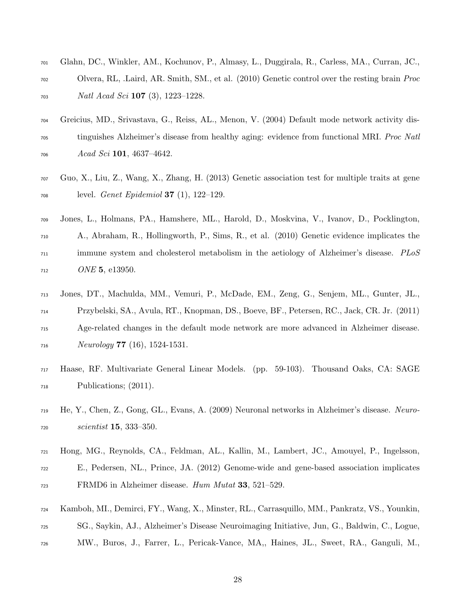- Glahn, DC., Winkler, AM., Kochunov, P., Almasy, L., Duggirala, R., Carless, MA., Curran, JC., Olvera, RL, .Laird, AR. Smith, SM., et al. (2010) Genetic control over the resting brain Proc *Natl Acad Sci* **107** (3), 1223–1228.
- Greicius, MD., Srivastava, G., Reiss, AL., Menon, V. (2004) Default mode network activity dis-<sup>705</sup> tinguishes Alzheimer's disease from healthy aging: evidence from functional MRI. *Proc Natl*  $Acad\,Sci\,101, 4637-4642.$
- Guo, X., Liu, Z., Wang, X., Zhang, H. (2013) Genetic association test for multiple traits at gene  $_{708}$  level. *Genet Epidemiol* **37** (1), 122–129.
- Jones, L., Holmans, PA., Hamshere, ML., Harold, D., Moskvina, V., Ivanov, D., Pocklington, A., Abraham, R., Hollingworth, P., Sims, R., et al. (2010) Genetic evidence implicates the <sup>711</sup> immune system and cholesterol metabolism in the aetiology of Alzheimer's disease. PLoS *ONE* 5, e13950.
- Jones, DT., Machulda, MM., Vemuri, P., McDade, EM., Zeng, G., Senjem, ML., Gunter, JL., Przybelski, SA., Avula, RT., Knopman, DS., Boeve, BF., Petersen, RC., Jack, CR. Jr. (2011) Age-related changes in the default mode network are more advanced in Alzheimer disease.  $Neurology 77 (16), 1524-1531.$
- Haase, RF. Multivariate General Linear Models. (pp. 59-103). Thousand Oaks, CA: SAGE Publications; (2011).
- He, Y., Chen, Z., Gong, GL., Evans, A. (2009) Neuronal networks in Alzheimer's disease. Neuro-scientist **15**, 333–350.
- Hong, MG., Reynolds, CA., Feldman, AL., Kallin, M., Lambert, JC., Amouyel, P., Ingelsson, E., Pedersen, NL., Prince, JA. (2012) Genome-wide and gene-based association implicates FRMD6 in Alzheimer disease. Hum Mutat 33, 521–529.
- Kamboh, MI., Demirci, FY., Wang, X., Minster, RL., Carrasquillo, MM., Pankratz, VS., Younkin,
- SG., Saykin, AJ., Alzheimer's Disease Neuroimaging Initiative, Jun, G., Baldwin, C., Logue,
- MW., Buros, J., Farrer, L., Pericak-Vance, MA,, Haines, JL., Sweet, RA., Ganguli, M.,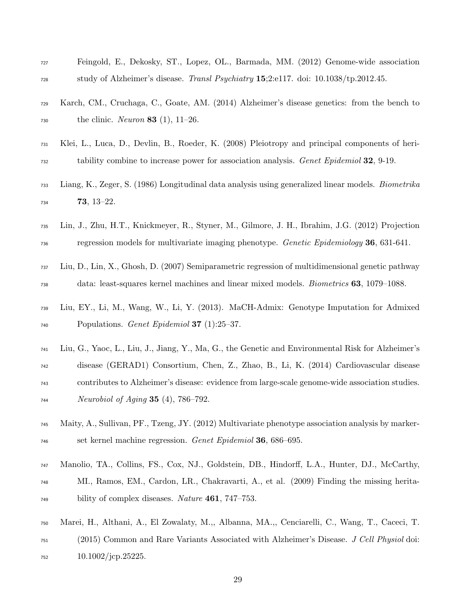| 727 | Feingold, E., Dekosky, ST., Lopez, OL., Barmada, MM. (2012) Genome-wide association                       |
|-----|-----------------------------------------------------------------------------------------------------------|
| 728 | study of Alzheimer's disease. Transl Psychiatry 15;2:e117. doi: 10.1038/tp.2012.45.                       |
| 729 | Karch, CM., Cruchaga, C., Goate, AM. (2014) Alzheimer's disease genetics: from the bench to               |
| 730 | the clinic. <i>Neuron</i> <b>83</b> (1), 11–26.                                                           |
| 731 | Klei, L., Luca, D., Devlin, B., Roeder, K. (2008) Pleiotropy and principal components of heri-            |
| 732 | tability combine to increase power for association analysis. Genet Epidemiol 32, 9-19.                    |
| 733 | Liang, K., Zeger, S. (1986) Longitudinal data analysis using generalized linear models. <i>Biometrika</i> |
| 734 | $73, 13-22.$                                                                                              |
| 735 | Lin, J., Zhu, H.T., Knickmeyer, R., Styner, M., Gilmore, J. H., Ibrahim, J.G. (2012) Projection           |
| 736 | regression models for multivariate imaging phenotype. <i>Genetic Epidemiology</i> 36, 631-641.            |
| 737 | Liu, D., Lin, X., Ghosh, D. (2007) Semiparametric regression of multidimensional genetic pathway          |
| 738 | data: least-squares kernel machines and linear mixed models. <i>Biometrics</i> 63, 1079–1088.             |
| 739 | Liu, EY., Li, M., Wang, W., Li, Y. (2013). MaCH-Admix: Genotype Imputation for Admixed                    |
| 740 | Populations. <i>Genet Epidemiol</i> <b>37</b> (1):25-37.                                                  |
| 741 | Liu, G., Yaoc, L., Liu, J., Jiang, Y., Ma, G., the Genetic and Environmental Risk for Alzheimer's         |
| 742 | disease (GERAD1) Consortium, Chen, Z., Zhao, B., Li, K. (2014) Cardiovascular disease                     |
| 743 | contributes to Alzheimer's disease: evidence from large-scale genome-wide association studies.            |
| 744 | <i>Neurobiol of Aging</i> <b>35</b> (4), 786-792.                                                         |
| 745 | Maity, A., Sullivan, PF., Tzeng, JY. (2012) Multivariate phenotype association analysis by marker-        |
| 746 | set kernel machine regression. Genet Epidemiol 36, 686–695.                                               |
| 747 | Manolio, TA., Collins, FS., Cox, NJ., Goldstein, DB., Hindorff, L.A., Hunter, DJ., McCarthy,              |
| 748 | MI., Ramos, EM., Cardon, LR., Chakravarti, A., et al. (2009) Finding the missing herita-                  |
| 749 | bility of complex diseases. Nature 461, 747-753.                                                          |
| 750 | Marei, H., Althani, A., El Zowalaty, M.,, Albanna, MA.,, Cenciarelli, C., Wang, T., Caceci, T.            |
| 751 | (2015) Common and Rare Variants Associated with Alzheimer's Disease. J Cell Physiol doi:                  |

10.1002/jcp.25225.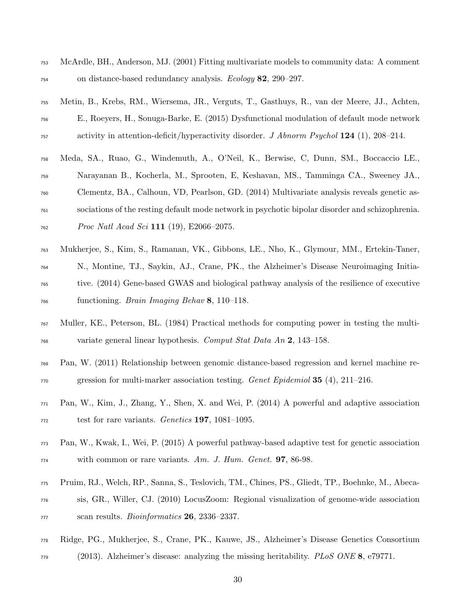- McArdle, BH., Anderson, MJ. (2001) Fitting multivariate models to community data: A comment on distance-based redundancy analysis. *Ecology* 82, 290–297.
- Metin, B., Krebs, RM., Wiersema, JR., Verguts, T., Gasthuys, R., van der Meere, JJ., Achten, E., Roeyers, H., Sonuga-Barke, E. (2015) Dysfunctional modulation of default mode network  $\alpha$ <sub>757</sub> activity in attention-deficit/hyperactivity disorder. J Abnorm Psychol 124 (1), 208–214.
- Meda, SA., Ruao, G., Windemuth, A., O'Neil, K., Berwise, C, Dunn, SM., Boccaccio LE.,
- Narayanan B., Kocherla, M., Sprooten, E, Keshavan, MS., Tamminga CA., Sweeney JA.,
- Clementz, BA., Calhoun, VD, Pearlson, GD. (2014) Multivariate analysis reveals genetic as-
- sociations of the resting default mode network in psychotic bipolar disorder and schizophrenia.
- $Prac$  *Proc Natl Acad Sci* 111 (19), E2066–2075.
- Mukherjee, S., Kim, S., Ramanan, VK., Gibbons, LE., Nho, K., Glymour, MM., Ertekin-Taner,
- N., Montine, TJ., Saykin, AJ., Crane, PK., the Alzheimer's Disease Neuroimaging Initia-
- tive. (2014) Gene-based GWAS and biological pathway analysis of the resilience of executive functioning. Brain Imaging Behav 8, 110–118.
- Muller, KE., Peterson, BL. (1984) Practical methods for computing power in testing the multi- $\frac{768}{768}$  variate general linear hypothesis. Comput Stat Data An 2, 143–158.
- Pan, W. (2011) Relationship between genomic distance-based regression and kernel machine re-gression for multi-marker association testing. Genet Epidemiol 35 (4), 211–216.
- Pan, W., Kim, J., Zhang, Y., Shen, X. and Wei, P. (2014) A powerful and adaptive association  $\tau$ <sub>772</sub> test for rare variants. *Genetics* **197**, 1081–1095.
- Pan, W., Kwak, I., Wei, P. (2015) A powerful pathway-based adaptive test for genetic association  $_{774}$  with common or rare variants. Am. J. Hum. Genet. **97**, 86-98.
- Pruim, RJ., Welch, RP., Sanna, S., Teslovich, TM., Chines, PS., Gliedt, TP., Boehnke, M., Abeca-
- sis, GR., Willer, CJ. (2010) LocusZoom: Regional visualization of genome-wide association  $\alpha$ <sub>777</sub> scan results. *Bioinformatics* **26**, 2336–2337.
- Ridge, PG., Mukherjee, S., Crane, PK., Kauwe, JS., Alzheimer's Disease Genetics Consortium
- <sup>779</sup> (2013). Alzheimer's disease: analyzing the missing heritability. *PLoS ONE* 8, e79771.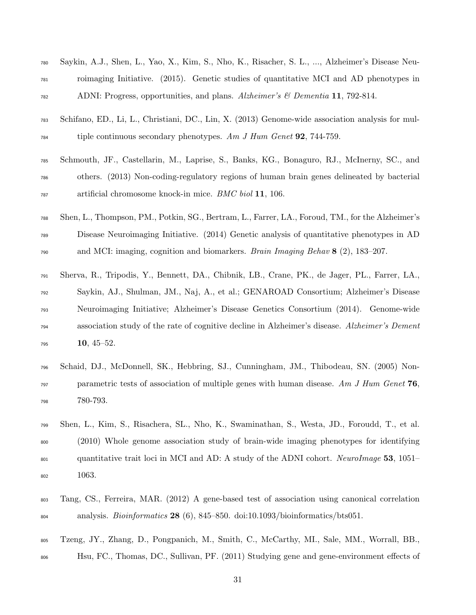| 780 | Saykin, A.J., Shen, L., Yao, X., Kim, S., Nho, K., Risacher, S. L., , Alzheimer's Disease Neu-    |
|-----|---------------------------------------------------------------------------------------------------|
| 781 | roimaging Initiative. (2015). Genetic studies of quantitative MCI and AD phenotypes in            |
| 782 | ADNI: Progress, opportunities, and plans. Alzheimer's & Dementia 11, 792-814.                     |
| 783 | Schifano, ED., Li, L., Christiani, DC., Lin, X. (2013) Genome-wide association analysis for mul-  |
| 784 | tiple continuous secondary phenotypes. Am $J$ Hum Genet <b>92</b> , 744-759.                      |
| 785 | Schmouth, JF., Castellarin, M., Laprise, S., Banks, KG., Bonaguro, RJ., McInerny, SC., and        |
| 786 | others. (2013) Non-coding-regulatory regions of human brain genes delineated by bacterial         |
| 787 | artificial chromosome knock-in mice. BMC biol 11, 106.                                            |
| 788 | Shen, L., Thompson, PM., Potkin, SG., Bertram, L., Farrer, LA., Foroud, TM., for the Alzheimer's  |
| 789 | Disease Neuroimaging Initiative. (2014) Genetic analysis of quantitative phenotypes in AD         |
| 790 | and MCI: imaging, cognition and biomarkers. <i>Brain Imaging Behav</i> $\mathbf{8}$ (2), 183–207. |
|     |                                                                                                   |
| 791 | Sherva, R., Tripodis, Y., Bennett, DA., Chibnik, LB., Crane, PK., de Jager, PL., Farrer, LA.,     |
| 792 | Saykin, AJ., Shulman, JM., Naj, A., et al.; GENAROAD Consortium; Alzheimer's Disease              |
| 793 | Neuroimaging Initiative; Alzheimer's Disease Genetics Consortium (2014). Genome-wide              |
| 794 | association study of the rate of cognitive decline in Alzheimer's disease. Alzheimer's Dement     |
| 795 | $10, 45 - 52.$                                                                                    |
| 796 | Schaid, DJ., McDonnell, SK., Hebbring, SJ., Cunningham, JM., Thibodeau, SN. (2005) Non-           |
| 797 | parametric tests of association of multiple genes with human disease. Am J Hum Genet $76$ ,       |
| 798 | 780-793.                                                                                          |
| 799 | Shen, L., Kim, S., Risachera, SL., Nho, K., Swaminathan, S., Westa, JD., Foroudd, T., et al.      |
| 800 | (2010) Whole genome association study of brain-wide imaging phenotypes for identifying            |

- 1063.
- Tang, CS., Ferreira, MAR. (2012) A gene-based test of association using canonical correlation analysis. Bioinformatics 28 (6), 845–850. doi:10.1093/bioinformatics/bts051.
- Tzeng, JY., Zhang, D., Pongpanich, M., Smith, C., McCarthy, MI., Sale, MM., Worrall, BB.,
- Hsu, FC., Thomas, DC., Sullivan, PF. (2011) Studying gene and gene-environment effects of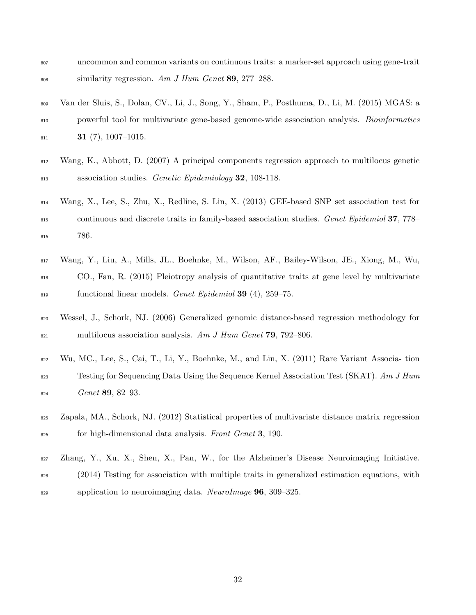- uncommon and common variants on continuous traits: a marker-set approach using gene-trait 808 similarity regression. Am J Hum Genet 89, 277-288.
- Van der Sluis, S., Dolan, CV., Li, J., Song, Y., Sham, P., Posthuma, D., Li, M. (2015) MGAS: a powerful tool for multivariate gene-based genome-wide association analysis. Bioinformatics 31 (7), 1007-1015.
- Wang, K., Abbott, D. (2007) A principal components regression approach to multilocus genetic 813 association studies. Genetic Epidemiology 32, 108-118.
- Wang, X., Lee, S., Zhu, X., Redline, S. Lin, X. (2013) GEE-based SNP set association test for continuous and discrete traits in family-based association studies. Genet Epidemiol 37, 778– 786.
- Wang, Y., Liu, A., Mills, JL., Boehnke, M., Wilson, AF., Bailey-Wilson, JE., Xiong, M., Wu, CO., Fan, R. (2015) Pleiotropy analysis of quantitative traits at gene level by multivariate  $\delta$ <sub>819</sub> functional linear models. Genet Epidemiol 39 (4), 259–75.
- Wessel, J., Schork, NJ. (2006) Generalized genomic distance-based regression methodology for  $\mu_{821}$  multilocus association analysis. Am J Hum Genet **79**, 792–806.
- Wu, MC., Lee, S., Cai, T., Li, Y., Boehnke, M., and Lin, X. (2011) Rare Variant Associa- tion <sup>823</sup> Testing for Sequencing Data Using the Sequence Kernel Association Test (SKAT). Am J Hum  $6e$ <sub>824</sub> Genet **89**, 82–93.
- Zapala, MA., Schork, NJ. (2012) Statistical properties of multivariate distance matrix regression <sup>826</sup> for high-dimensional data analysis. Front Genet **3**, 190.
- Zhang, Y., Xu, X., Shen, X., Pan, W., for the Alzheimer's Disease Neuroimaging Initiative.
- (2014) Testing for association with multiple traits in generalized estimation equations, with
- $\frac{829}{282}$  application to neuroimaging data. NeuroImage 96, 309–325.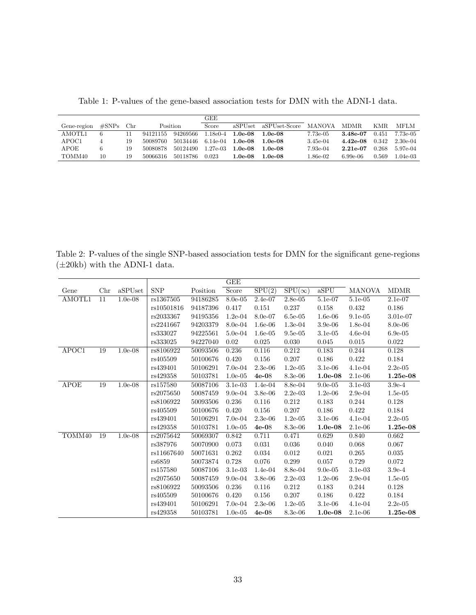Table 1: P-values of the gene-based association tests for DMN with the ADNI-1 data.

|             |                   |     |          |          | GEE         |           |               |                              |            |       |            |
|-------------|-------------------|-----|----------|----------|-------------|-----------|---------------|------------------------------|------------|-------|------------|
| Gene-region | $\#\mathrm{SNPs}$ | Chr |          | Position |             | aSPUset   | aSPUset-Score | MANOVA                       | MDMR.      | KMR.  | MFLM       |
| AMOTL1      |                   |     | 94121155 | 94269566 | l.18e0-4    | $1.0e-08$ | 1.0e-08       | 7.73e-05                     | 3.48e-07   | 0.451 | 7.73e-05   |
| APOC1       |                   | 19  | 50089760 | 50134446 | $6.14e-04$  | $1.0e-08$ | 1.0e-08       | 3.45e-04                     | $4.42e-08$ | 0.342 | $2.30e-04$ |
| APOE        |                   | 19  | 50080878 | 50124490 | 1.27e-03    | $1.0e-08$ | 1.0e-08       | 7.93e-04                     | $2.21e-07$ | 0.268 | $5.97e-04$ |
| TOMM40      | 10                | 19  | 50066316 | 50118786 | $\,0.023\,$ | 1.0e-08   | $.0e-08$      | $1.86\mathrm{e}{\text{-}}02$ | $6.99e-06$ | 0.569 | $1.04e-03$ |

Table 2: P-values of the single SNP-based association tests for DMN for the significant gene-regions  $(\pm 20kb)$  with the ADNI-1 data.

|             |     |           |            |          | $_{\rm GEE}$ |                              |               |            |               |             |
|-------------|-----|-----------|------------|----------|--------------|------------------------------|---------------|------------|---------------|-------------|
| Gene        | Chr | aSPUset   | <b>SNP</b> | Position | Score        | $\overline{\mathrm{SPU}(2)}$ | $SPU(\infty)$ | aSPU       | <b>MANOVA</b> | <b>MDMR</b> |
| AMOTL1      | 11  | $1.0e-08$ | rs1367505  | 94186285 | $8.0e-0.5$   | $2.4e-07$                    | $2.8e-0.5$    | 5.1e-07    | $5.1e-0.5$    | $2.1e-07$   |
|             |     |           | rs10501816 | 94187396 | 0.417        | 0.151                        | 0.237         | 0.158      | 0.432         | 0.186       |
|             |     |           | rs2033367  | 94195356 | $1.2e-04$    | 8.0e-07                      | $6.5e-0.5$    | $1.6e-06$  | $9.1e-05$     | 3.01e-07    |
|             |     |           | rs2241667  | 94203379 | $8.0e-04$    | $1.6e-06$                    | $1.3e-04$     | $3.9e-06$  | $1.8e-04$     | $8.0e-06$   |
|             |     |           | rs333027   | 94225561 | $5.0e-04$    | $1.6e-0.5$                   | $9.5e-0.5$    | $3.1e-0.5$ | $4.6e-04$     | $6.9e-0.5$  |
|             |     |           | rs333025   | 94227040 | $0.02\,$     | $0.025\,$                    | 0.030         | 0.045      | 0.015         | 0.022       |
| APOC1       | 19  | $1.0e-08$ | rs8106922  | 50093506 | 0.236        | 0.116                        | 0.212         | 0.183      | 0.244         | 0.128       |
|             |     |           | rs405509   | 50100676 | 0.420        | 0.156                        | 0.207         | 0.186      | 0.422         | 0.184       |
|             |     |           | rs439401   | 50106291 | $7.0e-04$    | $2.3e-06$                    | $1.2e-0.5$    | $3.1e-06$  | $4.1e-04$     | $2.2e-0.5$  |
|             |     |           | rs429358   | 50103781 | $1.0e-05$    | $4e-08$                      | $8.3e-06$     | $1.0e-08$  | $2.1e-06$     | 1.25e-08    |
| <b>APOE</b> | 19  | $1.0e-08$ | rs157580   | 50087106 | $3.1e-03$    | 1.4e-04                      | 8.8e-04       | $9.0e-0.5$ | $3.1e-03$     | $3.9e-4$    |
|             |     |           | rs2075650  | 50087459 | $9.0e-04$    | 3.8e-06                      | $2.2e-03$     | $1.2e-06$  | $2.9e-04$     | $1.5e-0.5$  |
|             |     |           | rs8106922  | 50093506 | 0.236        | 0.116                        | 0.212         | 0.183      | 0.244         | 0.128       |
|             |     |           | rs405509   | 50100676 | 0.420        | 0.156                        | 0.207         | 0.186      | 0.422         | 0.184       |
|             |     |           | rs439401   | 50106291 | $7.0e-04$    | $2.3e-06$                    | $1.2e-0.5$    | $3.1e-06$  | $4.1e-04$     | $2.2e-0.5$  |
|             |     |           | rs429358   | 50103781 | $1.0e-05$    | $4e-08$                      | 8.3e-06       | $1.0e-08$  | $2.1e-06$     | 1.25e-08    |
| TOMM40      | 19  | $1.0e-08$ | rs2075642  | 50069307 | 0.842        | 0.711                        | 0.471         | 0.629      | 0.840         | 0.662       |
|             |     |           | rs387976   | 50070900 | 0.073        | 0.031                        | 0.036         | 0.040      | 0.068         | 0.067       |
|             |     |           | rs11667640 | 50071631 | 0.262        | 0.034                        | 0.012         | 0.021      | 0.265         | 0.035       |
|             |     |           | rs6859     | 50073874 | 0.728        | 0.076                        | 0.299         | 0.057      | 0.729         | 0.072       |
|             |     |           | rs157580   | 50087106 | $3.1e-03$    | $1.4e-04$                    | 8.8e-04       | $9.0e-0.5$ | $3.1e-03$     | $3.9e-4$    |
|             |     |           | rs2075650  | 50087459 | $9.0e-04$    | $3.8e-06$                    | $2.2e-03$     | $1.2e-06$  | $2.9e-04$     | $1.5e-05$   |
|             |     |           | rs8106922  | 50093506 | 0.236        | 0.116                        | 0.212         | 0.183      | 0.244         | 0.128       |
|             |     |           | rs405509   | 50100676 | 0.420        | 0.156                        | 0.207         | 0.186      | 0.422         | 0.184       |
|             |     |           | rs439401   | 50106291 | $7.0e-04$    | $2.3e-06$                    | $1.2e-0.5$    | $3.1e-06$  | $4.1e-04$     | $2.2e-0.5$  |
|             |     |           | rs429358   | 50103781 | $1.0e-0.5$   | $4e-08$                      | $8.3e-06$     | $1.0e-08$  | $2.1e-06$     | $1.25e-08$  |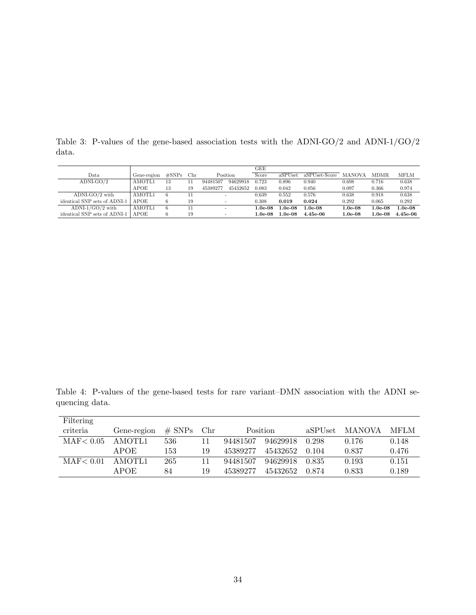|                              |             |           |     |          |          | GEE       |               |               |           |           |             |
|------------------------------|-------------|-----------|-----|----------|----------|-----------|---------------|---------------|-----------|-----------|-------------|
| Data                         | Gene-region | $\#$ SNPs | Chr |          | Position | Score     | aSPUset       | aSPUset-Score | MANOVA    | MDMR.     | <b>MFLM</b> |
| $ADNI-GO/2$                  | AMOTL1      | 13        |     | 94481507 | 94629918 | 0.723     | 0.896         | 0.940         | 0.698     | 0.716     | 0.638       |
|                              | APOE        | 13        | 19  | 45389277 | 45432652 | 0.083     | 0.042         | 0.056         | 0.097     | 0.366     | 0.974       |
| $ADNI-GO/2$ with             | AMOTL1      | 6         |     |          |          | 0.639     | 0.552         | 0.576         | 0.638     | 0.918     | 0.638       |
| identical SNP sets of ADNI-1 | <b>APOE</b> |           | 19  |          |          | 0.308     | 0.019         | 0.024         | 0.292     | 0.065     | 0.292       |
| ADNI- $1/GO/2$ with          | AMOTL1      | 6         |     |          |          | $1.0e-08$ | 1.0e-08       | $1.0e-0.8$    | $1.0e-08$ | $1.0e-08$ | $1.0e-08$   |
| identical SNP sets of ADNI-1 | <b>APOE</b> |           | 19  |          |          | $1.0e-08$ | $1.0$ e- $08$ | $4.45e-06$    | $1.0e-08$ | $1.0e-08$ | $4.45e-06$  |

Table 3: P-values of the gene-based association tests with the ADNI-GO/2 and ADNI-1/GO/2 data.

Table 4: P-values of the gene-based tests for rare variant–DMN association with the ADNI sequencing data.

| Filtering  |                                             |     |    |          |               |             |       |       |
|------------|---------------------------------------------|-----|----|----------|---------------|-------------|-------|-------|
| criteria   | $\#$ SNPs<br>Gene-region<br>Position<br>Chr |     |    | aSPUset  | <b>MANOVA</b> | <b>MFLM</b> |       |       |
| MAF < 0.05 | AMOTL1                                      | 536 | 11 | 94481507 | 94629918      | 0.298       | 0.176 | 0.148 |
|            | <b>APOE</b>                                 | 153 | 19 | 45389277 | 45432652      | 0.104       | 0.837 | 0.476 |
| MAF < 0.01 | AMOTL1                                      | 265 | 11 | 94481507 | 94629918      | 0.835       | 0.193 | 0.151 |
|            | APOE                                        | 84  | 19 | 45389277 | 45432652      | 0.874       | 0.833 | 0.189 |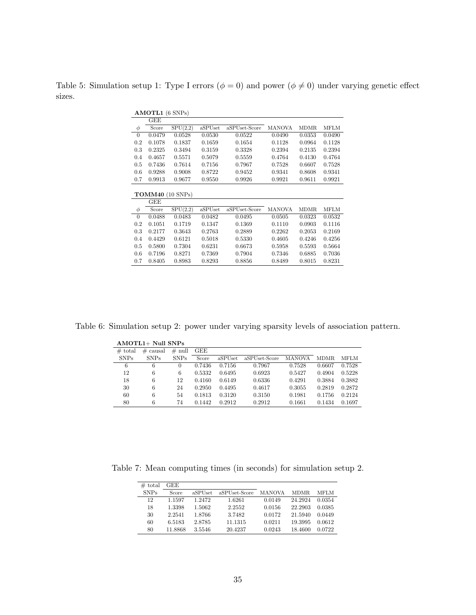Table 5: Simulation setup 1: Type I errors ( $\phi = 0$ ) and power ( $\phi \neq 0$ ) under varying genetic effect sizes.

|                | $AMOTL1$ (6 SNPs) |             |         |               |               |             |             |  |  |  |  |  |  |  |
|----------------|-------------------|-------------|---------|---------------|---------------|-------------|-------------|--|--|--|--|--|--|--|
|                | GEE               |             |         |               |               |             |             |  |  |  |  |  |  |  |
| $\phi$         | Score             | SPU(2,2)    | aSPUset | aSPUset-Score | <b>MANOVA</b> | <b>MDMR</b> | <b>MFLM</b> |  |  |  |  |  |  |  |
| $\overline{0}$ | 0.0479            | 0.0528      | 0.0530  | 0.0522        | 0.0490        | 0.0353      | 0.0490      |  |  |  |  |  |  |  |
| 0.2            | 0.1078            | 0.1837      | 0.1659  | 0.1654        | 0.1128        | 0.0964      | 0.1128      |  |  |  |  |  |  |  |
| 0.3            | 0.2325            | 0.3494      | 0.3159  | 0.3328        | 0.2394        | 0.2135      | 0.2394      |  |  |  |  |  |  |  |
| 0.4            | 0.4657            | 0.5571      | 0.5079  | 0.5559        | 0.4764        | 0.4130      | 0.4764      |  |  |  |  |  |  |  |
| 0.5            | 0.7436            | 0.7614      | 0.7156  | 0.7967        | 0.7528        | 0.6607      | 0.7528      |  |  |  |  |  |  |  |
| 0.6            | 0.9288            | 0.9008      | 0.8722  | 0.9452        | 0.9341        | 0.8608      | 0.9341      |  |  |  |  |  |  |  |
| 0.7            | 0.9913            | 0.9677      | 0.9550  | 0.9926        | 0.9921        | 0.9611      | 0.9921      |  |  |  |  |  |  |  |
|                |                   |             |         |               |               |             |             |  |  |  |  |  |  |  |
|                | TOMM40            | $(10$ SNPs) |         |               |               |             |             |  |  |  |  |  |  |  |
|                | GEE               |             |         |               |               |             |             |  |  |  |  |  |  |  |
| $\phi$         | Score             | SPU(2,2)    | aSPUset | aSPUset-Score | <b>MANOVA</b> | <b>MDMR</b> | <b>MFLM</b> |  |  |  |  |  |  |  |
| $\overline{0}$ | 0.0488            | 0.0483      | 0.0482  | 0.0495        | 0.0505        | 0.0323      | 0.0532      |  |  |  |  |  |  |  |
| 0.2            | 0.1051            | 0.1719      | 0.1347  | 0.1369        | 0.1110        | 0.0903      | 0.1116      |  |  |  |  |  |  |  |
| 0.3            | 0.2177            | 0.3643      | 0.2763  | 0.2889        | 0.2262        | 0.2053      | 0.2169      |  |  |  |  |  |  |  |
| 0.4            | 0.4429            | 0.6121      | 0.5018  | 0.5330        | 0.4605        | 0.4246      | 0.4256      |  |  |  |  |  |  |  |
| 0.5            | 0.5800            | 0.7304      | 0.6231  | 0.6673        | 0.5958        | 0.5593      | 0.5664      |  |  |  |  |  |  |  |
| 0.6            | 0.7196            | 0.8271      | 0.7369  | 0.7904        | 0.7346        | 0.6885      | 0.7036      |  |  |  |  |  |  |  |
| 0.7            | 0.8405            | 0.8983      | 0.8293  | 0.8856        | 0.8489        | 0.8015      | 0.8231      |  |  |  |  |  |  |  |

Table 6: Simulation setup 2: power under varying sparsity levels of association pattern.

|             | AMOTL1+ Null SNPs |             |            |         |               |               |        |             |  |  |  |  |  |
|-------------|-------------------|-------------|------------|---------|---------------|---------------|--------|-------------|--|--|--|--|--|
| $#$ total   | $\#$ causal       | # null      | <b>GEE</b> |         |               |               |        |             |  |  |  |  |  |
| <b>SNPs</b> | <b>SNPs</b>       | <b>SNPs</b> | Score      | aSPUset | aSPUset-Score | <b>MANOVA</b> | MDMR.  | <b>MFLM</b> |  |  |  |  |  |
| 6           | 6                 | 0           | 0.7436     | 0.7156  | 0.7967        | 0.7528        | 0.6607 | 0.7528      |  |  |  |  |  |
| 12          | 6                 | 6           | 0.5332     | 0.6495  | 0.6923        | 0.5427        | 0.4904 | 0.5228      |  |  |  |  |  |
| 18          | 6                 | 12          | 0.4160     | 0.6149  | 0.6336        | 0.4291        | 0.3884 | 0.3882      |  |  |  |  |  |
| 30          | 6                 | 24          | 0.2950     | 0.4495  | 0.4617        | 0.3055        | 0.2819 | 0.2872      |  |  |  |  |  |
| 60          | 6                 | 54          | 0.1813     | 0.3120  | 0.3150        | 0.1981        | 0.1756 | 0.2124      |  |  |  |  |  |
| 80          | 6                 | 74          | 0.1442     | 0.2912  | 0.2912        | 0.1661        | 0.1434 | 0.1697      |  |  |  |  |  |

Table 7: Mean computing times (in seconds) for simulation setup 2.

| $#$ total   | GEE     |         |               |               |             |             |
|-------------|---------|---------|---------------|---------------|-------------|-------------|
| <b>SNPs</b> | Score   | aSPUset | aSPUset-Score | <b>MANOVA</b> | <b>MDMR</b> | <b>MFLM</b> |
| 12          | 1.1597  | 1.2472  | 1.6261        | 0.0149        | 24.2924     | 0.0354      |
| 18          | 1.3398  | 1.5062  | 2.2552        | 0.0156        | 22.2903     | 0.0385      |
| 30          | 2.2541  | 1.8766  | 3.7482        | 0.0172        | 21.5940     | 0.0449      |
| 60          | 6.5183  | 2.8785  | 11.1315       | 0.0211        | 19.3995     | 0.0612      |
| 80          | 11.8868 | 3.5546  | 20.4237       | 0.0243        | 18.4600     | 0.0722      |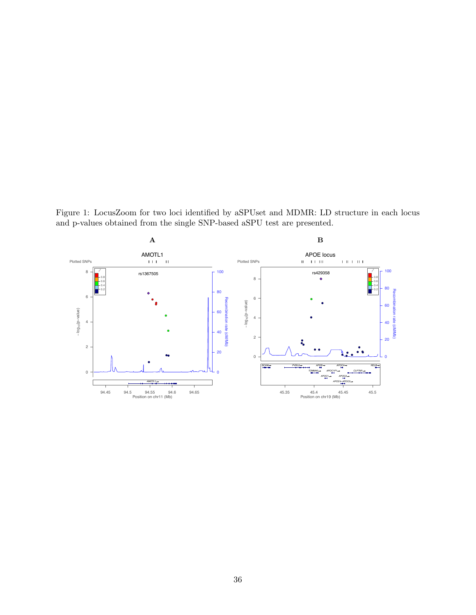Figure 1: LocusZoom for two loci identified by aSPUset and MDMR: LD structure in each locus and p-values obtained from the single SNP-based aSPU test are presented.